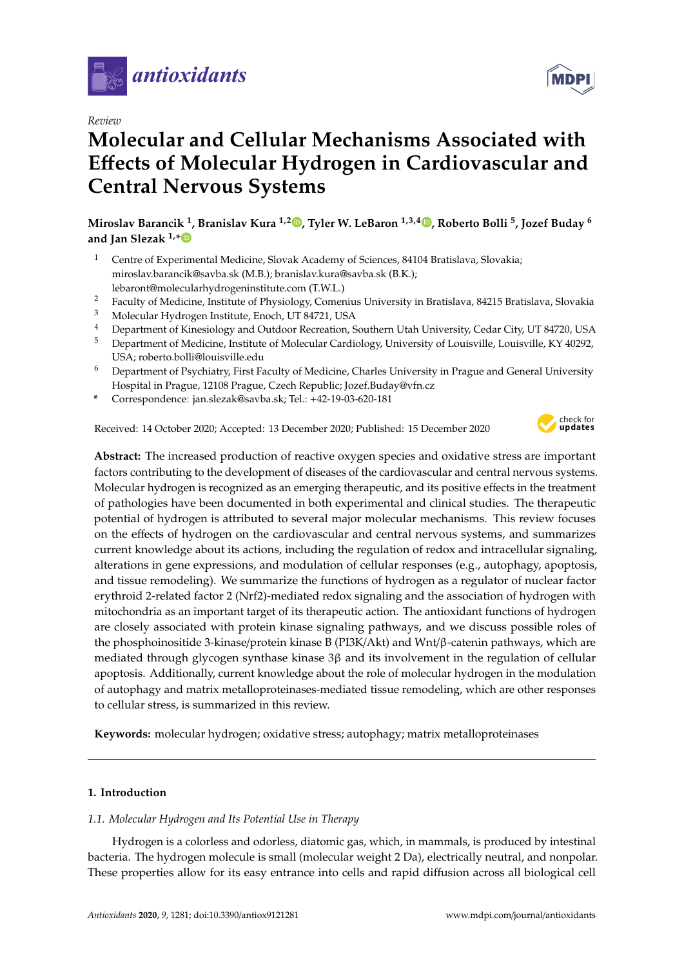

*Review*

# **Molecular and Cellular Mechanisms Associated with E**ff**ects of Molecular Hydrogen in Cardiovascular and Central Nervous Systems**

**Miroslav Barancik <sup>1</sup> , Branislav Kura 1,2 [,](https://orcid.org/0000-0001-6743-491X) Tyler W. LeBaron 1,3,4 [,](https://orcid.org/0000-0001-9164-6728) Roberto Bolli <sup>5</sup> , Jozef Buday <sup>6</sup> and Jan Slezak 1,[\\*](https://orcid.org/0000-0002-4217-4493)**

- <sup>1</sup> Centre of Experimental Medicine, Slovak Academy of Sciences, 84104 Bratislava, Slovakia; miroslav.barancik@savba.sk (M.B.); branislav.kura@savba.sk (B.K.); lebaront@molecularhydrogeninstitute.com (T.W.L.)
- <sup>2</sup> Faculty of Medicine, Institute of Physiology, Comenius University in Bratislava, 84215 Bratislava, Slovakia
- <sup>3</sup> Molecular Hydrogen Institute, Enoch, UT 84721, USA
- <sup>4</sup> Department of Kinesiology and Outdoor Recreation, Southern Utah University, Cedar City, UT 84720, USA
- <sup>5</sup> Department of Medicine, Institute of Molecular Cardiology, University of Louisville, Louisville, KY 40292, USA; roberto.bolli@louisville.edu
- <sup>6</sup> Department of Psychiatry, First Faculty of Medicine, Charles University in Prague and General University Hospital in Prague, 12108 Prague, Czech Republic; Jozef.Buday@vfn.cz
- **\*** Correspondence: jan.slezak@savba.sk; Tel.: +42-19-03-620-181

Received: 14 October 2020; Accepted: 13 December 2020; Published: 15 December 2020



**Abstract:** The increased production of reactive oxygen species and oxidative stress are important factors contributing to the development of diseases of the cardiovascular and central nervous systems. Molecular hydrogen is recognized as an emerging therapeutic, and its positive effects in the treatment of pathologies have been documented in both experimental and clinical studies. The therapeutic potential of hydrogen is attributed to several major molecular mechanisms. This review focuses on the effects of hydrogen on the cardiovascular and central nervous systems, and summarizes current knowledge about its actions, including the regulation of redox and intracellular signaling, alterations in gene expressions, and modulation of cellular responses (e.g., autophagy, apoptosis, and tissue remodeling). We summarize the functions of hydrogen as a regulator of nuclear factor erythroid 2-related factor 2 (Nrf2)-mediated redox signaling and the association of hydrogen with mitochondria as an important target of its therapeutic action. The antioxidant functions of hydrogen are closely associated with protein kinase signaling pathways, and we discuss possible roles of the phosphoinositide 3-kinase/protein kinase B (PI3K/Akt) and Wnt/β-catenin pathways, which are mediated through glycogen synthase kinase 3β and its involvement in the regulation of cellular apoptosis. Additionally, current knowledge about the role of molecular hydrogen in the modulation of autophagy and matrix metalloproteinases-mediated tissue remodeling, which are other responses to cellular stress, is summarized in this review.

**Keywords:** molecular hydrogen; oxidative stress; autophagy; matrix metalloproteinases

# **1. Introduction**

# *1.1. Molecular Hydrogen and Its Potential Use in Therapy*

Hydrogen is a colorless and odorless, diatomic gas, which, in mammals, is produced by intestinal bacteria. The hydrogen molecule is small (molecular weight 2 Da), electrically neutral, and nonpolar. These properties allow for its easy entrance into cells and rapid diffusion across all biological cell

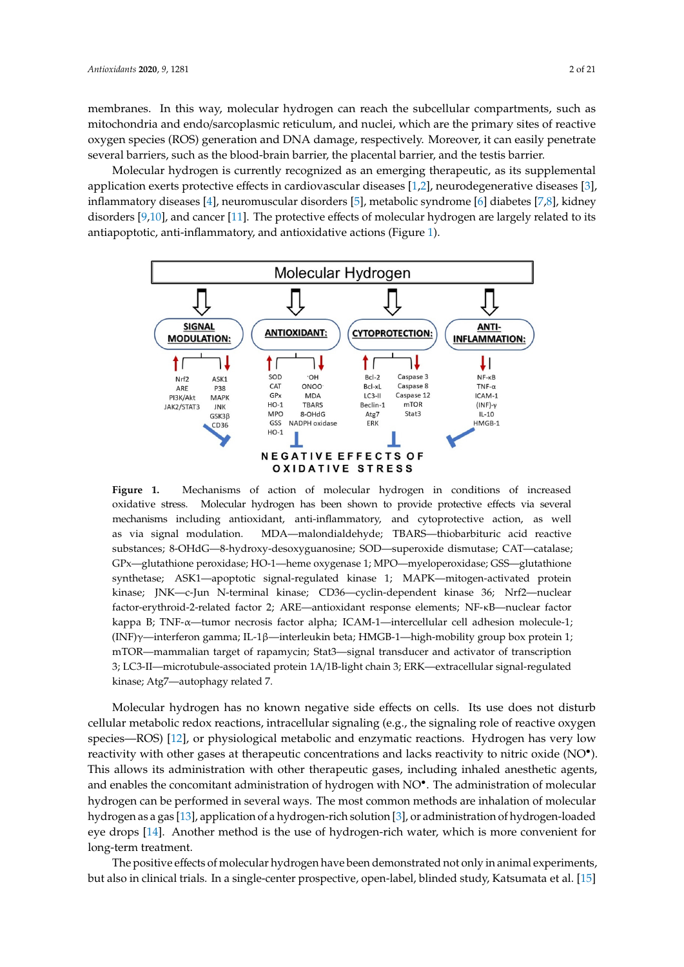membranes. In this way, molecular hydrogen can reach the subcellular compartments, such as mitochondria and endo/sarcoplasmic reticulum, and nuclei, which are the primary sites of reactive oxygen species (ROS) generation and DNA damage, respectively. Moreover, it can easily penetrate several barriers, such as the blood-brain barrier, the placental barrier, and the testis barrier. membranes. In this way, molecular hydrogen can reach the subcellular compartments, such as<br>mitochondria and endo/sarcoplasmic reticulum, and nuclei, which are the primary sites of reactive<br>oxygen species (ROS) generation a

Molecular hydrogen is currently recognized as an emerging therapeutic, as its supplemental Molecular hydrogen is currently recognized as an emerging therapeutic, as its supplemental application exerts protective effects in cardiovascular diseases  $[1,2]$  $[1,2]$ , neurodegenerative diseases  $[3]$ , inflammatory diseases [4], neuromuscular disorders [5], metabolic syndrome [6] diabetes [7,8], kidney inflammatory disease[s \[](#page-12-3)4], neuromuscular disord[ers](#page-12-4) [5], metabolic synd[rom](#page-12-5)e [6] di[ab](#page-12-6)[et](#page-12-7)es [7,8], di[so](#page-12-8)[rde](#page-12-9)rs [9,10], an[d c](#page-12-10)ancer [11]. The protective effects of molecular hydrogen are largely related to its antiapoptotic, anti-inflammatory, and antioxidative a[cti](#page-1-0)ons (Figure 1).

<span id="page-1-0"></span>

oxidative stress. Molecular hydrogen has been shown to provide protective effects via several mechanisms including antioxidant, anti-inflammatory, and cytoprotective action, as well as via signal modulation. MDA—malondialdehyde; TBARS—thiobarbituric acid reactive substances; 8-OHdG—8-hydroxy-desoxyguanosine; SOD—superoxide dismutase; CAT—catalase; GPx—glutathione peroxidase; HO-1—heme oxygenase 1; MPO—myeloperoxidase; GSS—glutathione synthetase; ASK1—apoptotic signal-regulated kinase 1; MAPK—mitogen-activated protein .<br>kinase; JNK—c-Jun N-terminal kinase; CD36—cyclin-dependent kinase 36; Nrf2—nuclear factor-erythroid-2-related factor 2; ARE—antioxidant response elements; NF-κB—nuclear factor kappa B; TNF-α—tumor necrosis factor alpha; ICAM-1—intercellular cell adhesion molecule-1; ICAM-1—intercellular cell adhesion molecule-1; (INF)γ—interferon gamma; IL-1β—interleukin beta; (INF)γ—interferon gamma; IL-1β—interleukin beta; HMGB-1—high-mobility group box protein 1; mTOR—mammalian target of rapamycin; Stat3—signal transducer and activator of transcription 3; LC3-II—microtubule-associated protein 1A/1B-light chain 3; ERK—extracellular signal-regulated kinase; Atg7—autophagy related 7. **Figure 1.** Mechanisms of action of molecular hydrogen in conditions of increased

Molecular hydrogen has no known negative side effects on cells. Its use does not disturb cellular metabolic redox reactions, intracellular signaling (e.g., the signaling role of reactive oxygen species—ROS) [12], or p[hys](#page-12-11)iological metabolic and enzymatic reactions. Hydrogen has very low reactivity with other gases at therapeutic concentrations and lacks reactivity to nitric oxide (NO<sup>•</sup>). This allows its administration with other therapeutic gases, including inhaled anesthetic agents, and enables the concomitant administration of hydrogen with NO<sup>•</sup>. The administration of molecular hydrogen can be performed in several ways. The most common methods are inhalation of molecular hydrogen as a gas [13], applic[atio](#page-12-12)n of a hydrogen-rich solution [3], or [ad](#page-12-2)ministration of hydrogen-loaded eye drops [\[14\]](#page-13-0). Another method is the use of hydrogen-rich water, which is more convenient for long-term treatment.

The positive effects of molecular hydrogen have been demonstrated not only in animal The positive effects of molecular hydrogen have been demonstrated not only in animal experiments, but also in clinical trials. In a single-center prospective, open-label, blinded st[udy](#page-13-1), Katsumata et al. [15]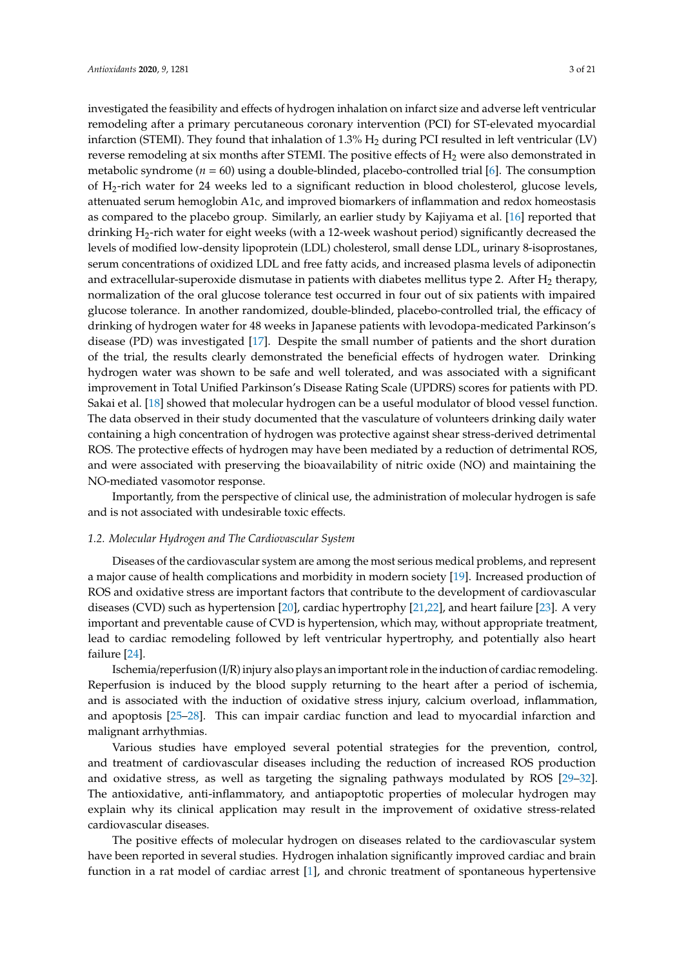investigated the feasibility and effects of hydrogen inhalation on infarct size and adverse left ventricular remodeling after a primary percutaneous coronary intervention (PCI) for ST-elevated myocardial infarction (STEMI). They found that inhalation of  $1.3\%$  H<sub>2</sub> during PCI resulted in left ventricular (LV) reverse remodeling at six months after STEMI. The positive effects of H<sub>2</sub> were also demonstrated in metabolic syndrome (*n* = 60) using a double-blinded, placebo-controlled trial [\[6\]](#page-12-5). The consumption of H2-rich water for 24 weeks led to a significant reduction in blood cholesterol, glucose levels, attenuated serum hemoglobin A1c, and improved biomarkers of inflammation and redox homeostasis as compared to the placebo group. Similarly, an earlier study by Kajiyama et al. [\[16\]](#page-13-2) reported that drinking H2-rich water for eight weeks (with a 12-week washout period) significantly decreased the levels of modified low-density lipoprotein (LDL) cholesterol, small dense LDL, urinary 8-isoprostanes, serum concentrations of oxidized LDL and free fatty acids, and increased plasma levels of adiponectin and extracellular-superoxide dismutase in patients with diabetes mellitus type 2. After  $H_2$  therapy, normalization of the oral glucose tolerance test occurred in four out of six patients with impaired glucose tolerance. In another randomized, double-blinded, placebo-controlled trial, the efficacy of drinking of hydrogen water for 48 weeks in Japanese patients with levodopa-medicated Parkinson's disease (PD) was investigated [\[17\]](#page-13-3). Despite the small number of patients and the short duration of the trial, the results clearly demonstrated the beneficial effects of hydrogen water. Drinking hydrogen water was shown to be safe and well tolerated, and was associated with a significant improvement in Total Unified Parkinson's Disease Rating Scale (UPDRS) scores for patients with PD. Sakai et al. [\[18\]](#page-13-4) showed that molecular hydrogen can be a useful modulator of blood vessel function. The data observed in their study documented that the vasculature of volunteers drinking daily water containing a high concentration of hydrogen was protective against shear stress-derived detrimental ROS. The protective effects of hydrogen may have been mediated by a reduction of detrimental ROS, and were associated with preserving the bioavailability of nitric oxide (NO) and maintaining the NO-mediated vasomotor response.

Importantly, from the perspective of clinical use, the administration of molecular hydrogen is safe and is not associated with undesirable toxic effects.

## *1.2. Molecular Hydrogen and The Cardiovascular System*

Diseases of the cardiovascular system are among the most serious medical problems, and represent a major cause of health complications and morbidity in modern society [\[19\]](#page-13-5). Increased production of ROS and oxidative stress are important factors that contribute to the development of cardiovascular diseases (CVD) such as hypertension [\[20\]](#page-13-6), cardiac hypertrophy [\[21,](#page-13-7)[22\]](#page-13-8), and heart failure [\[23\]](#page-13-9). A very important and preventable cause of CVD is hypertension, which may, without appropriate treatment, lead to cardiac remodeling followed by left ventricular hypertrophy, and potentially also heart failure [\[24\]](#page-13-10).

Ischemia/reperfusion (I/R) injury also plays an important role in the induction of cardiac remodeling. Reperfusion is induced by the blood supply returning to the heart after a period of ischemia, and is associated with the induction of oxidative stress injury, calcium overload, inflammation, and apoptosis [\[25](#page-13-11)[–28\]](#page-13-12). This can impair cardiac function and lead to myocardial infarction and malignant arrhythmias.

Various studies have employed several potential strategies for the prevention, control, and treatment of cardiovascular diseases including the reduction of increased ROS production and oxidative stress, as well as targeting the signaling pathways modulated by ROS [\[29–](#page-13-13)[32\]](#page-13-14). The antioxidative, anti-inflammatory, and antiapoptotic properties of molecular hydrogen may explain why its clinical application may result in the improvement of oxidative stress-related cardiovascular diseases.

The positive effects of molecular hydrogen on diseases related to the cardiovascular system have been reported in several studies. Hydrogen inhalation significantly improved cardiac and brain function in a rat model of cardiac arrest [\[1\]](#page-12-0), and chronic treatment of spontaneous hypertensive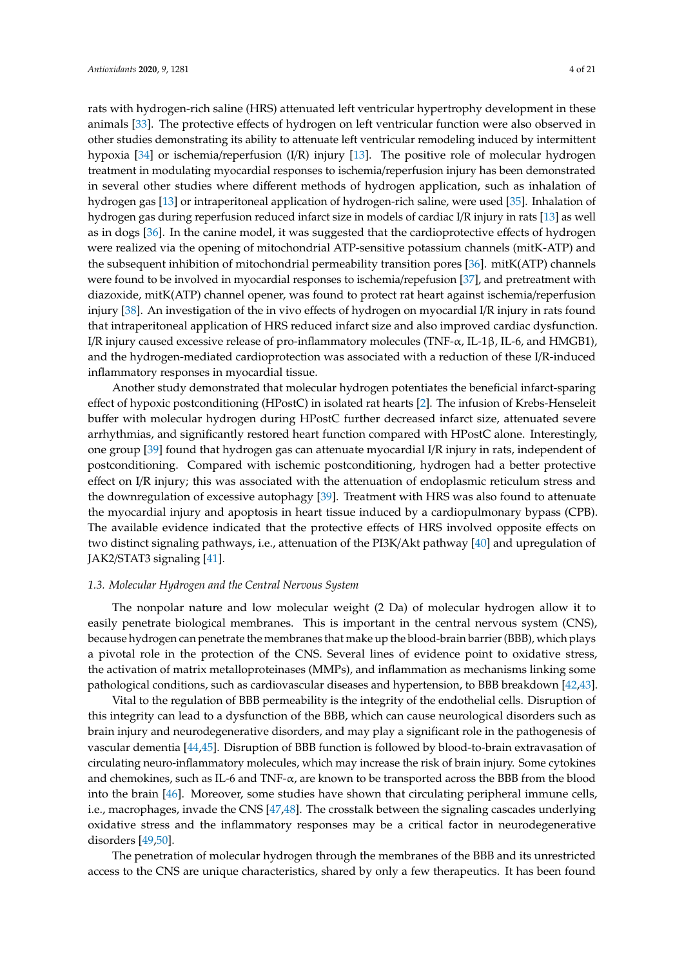rats with hydrogen-rich saline (HRS) attenuated left ventricular hypertrophy development in these animals [\[33\]](#page-14-0). The protective effects of hydrogen on left ventricular function were also observed in other studies demonstrating its ability to attenuate left ventricular remodeling induced by intermittent hypoxia [\[34\]](#page-14-1) or ischemia/reperfusion (I/R) injury [\[13\]](#page-12-12). The positive role of molecular hydrogen treatment in modulating myocardial responses to ischemia/reperfusion injury has been demonstrated in several other studies where different methods of hydrogen application, such as inhalation of hydrogen gas [\[13\]](#page-12-12) or intraperitoneal application of hydrogen-rich saline, were used [\[35\]](#page-14-2). Inhalation of hydrogen gas during reperfusion reduced infarct size in models of cardiac I/R injury in rats [\[13\]](#page-12-12) as well as in dogs [\[36\]](#page-14-3). In the canine model, it was suggested that the cardioprotective effects of hydrogen were realized via the opening of mitochondrial ATP-sensitive potassium channels (mitK-ATP) and the subsequent inhibition of mitochondrial permeability transition pores [\[36\]](#page-14-3). mitK(ATP) channels were found to be involved in myocardial responses to ischemia/repefusion [\[37\]](#page-14-4), and pretreatment with diazoxide, mitK(ATP) channel opener, was found to protect rat heart against ischemia/reperfusion injury [\[38\]](#page-14-5). An investigation of the in vivo effects of hydrogen on myocardial I/R injury in rats found that intraperitoneal application of HRS reduced infarct size and also improved cardiac dysfunction. I/R injury caused excessive release of pro-inflammatory molecules (TNF-α, IL-1β, IL-6, and HMGB1), and the hydrogen-mediated cardioprotection was associated with a reduction of these I/R-induced inflammatory responses in myocardial tissue.

Another study demonstrated that molecular hydrogen potentiates the beneficial infarct-sparing effect of hypoxic postconditioning (HPostC) in isolated rat hearts [\[2\]](#page-12-1). The infusion of Krebs-Henseleit buffer with molecular hydrogen during HPostC further decreased infarct size, attenuated severe arrhythmias, and significantly restored heart function compared with HPostC alone. Interestingly, one group [\[39\]](#page-14-6) found that hydrogen gas can attenuate myocardial I/R injury in rats, independent of postconditioning. Compared with ischemic postconditioning, hydrogen had a better protective effect on I/R injury; this was associated with the attenuation of endoplasmic reticulum stress and the downregulation of excessive autophagy [\[39\]](#page-14-6). Treatment with HRS was also found to attenuate the myocardial injury and apoptosis in heart tissue induced by a cardiopulmonary bypass (CPB). The available evidence indicated that the protective effects of HRS involved opposite effects on two distinct signaling pathways, i.e., attenuation of the PI3K/Akt pathway [\[40\]](#page-14-7) and upregulation of JAK2/STAT3 signaling [\[41\]](#page-14-8).

# *1.3. Molecular Hydrogen and the Central Nervous System*

The nonpolar nature and low molecular weight (2 Da) of molecular hydrogen allow it to easily penetrate biological membranes. This is important in the central nervous system (CNS), because hydrogen can penetrate the membranes that make up the blood-brain barrier (BBB), which plays a pivotal role in the protection of the CNS. Several lines of evidence point to oxidative stress, the activation of matrix metalloproteinases (MMPs), and inflammation as mechanisms linking some pathological conditions, such as cardiovascular diseases and hypertension, to BBB breakdown [\[42](#page-14-9)[,43\]](#page-14-10).

Vital to the regulation of BBB permeability is the integrity of the endothelial cells. Disruption of this integrity can lead to a dysfunction of the BBB, which can cause neurological disorders such as brain injury and neurodegenerative disorders, and may play a significant role in the pathogenesis of vascular dementia [\[44,](#page-14-11)[45\]](#page-14-12). Disruption of BBB function is followed by blood-to-brain extravasation of circulating neuro-inflammatory molecules, which may increase the risk of brain injury. Some cytokines and chemokines, such as IL-6 and TNF- $\alpha$ , are known to be transported across the BBB from the blood into the brain [\[46\]](#page-14-13). Moreover, some studies have shown that circulating peripheral immune cells, i.e., macrophages, invade the CNS [\[47](#page-14-14)[,48\]](#page-14-15). The crosstalk between the signaling cascades underlying oxidative stress and the inflammatory responses may be a critical factor in neurodegenerative disorders [\[49,](#page-14-16)[50\]](#page-14-17).

The penetration of molecular hydrogen through the membranes of the BBB and its unrestricted access to the CNS are unique characteristics, shared by only a few therapeutics. It has been found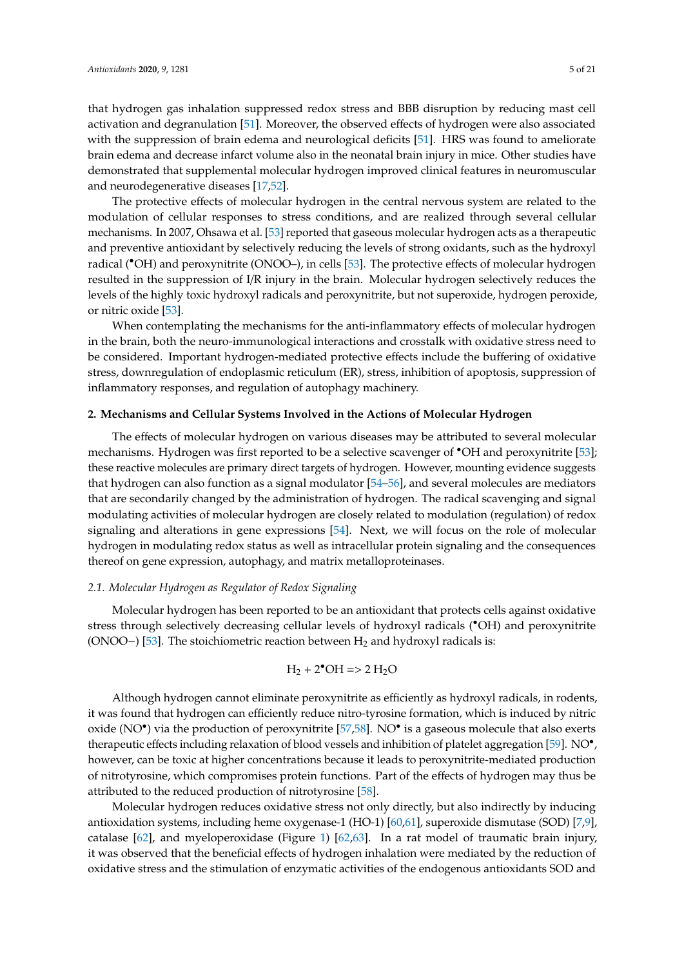that hydrogen gas inhalation suppressed redox stress and BBB disruption by reducing mast cell activation and degranulation [\[51\]](#page-14-18). Moreover, the observed effects of hydrogen were also associated with the suppression of brain edema and neurological deficits [\[51\]](#page-14-18). HRS was found to ameliorate brain edema and decrease infarct volume also in the neonatal brain injury in mice. Other studies have demonstrated that supplemental molecular hydrogen improved clinical features in neuromuscular and neurodegenerative diseases [\[17](#page-13-3)[,52\]](#page-14-19).

The protective effects of molecular hydrogen in the central nervous system are related to the modulation of cellular responses to stress conditions, and are realized through several cellular mechanisms. In 2007, Ohsawa et al. [\[53\]](#page-15-0) reported that gaseous molecular hydrogen acts as a therapeutic and preventive antioxidant by selectively reducing the levels of strong oxidants, such as the hydroxyl radical (<sup>\*</sup>OH) and peroxynitrite (ONOO-), in cells [\[53\]](#page-15-0). The protective effects of molecular hydrogen resulted in the suppression of I/R injury in the brain. Molecular hydrogen selectively reduces the levels of the highly toxic hydroxyl radicals and peroxynitrite, but not superoxide, hydrogen peroxide, or nitric oxide [\[53\]](#page-15-0).

When contemplating the mechanisms for the anti-inflammatory effects of molecular hydrogen in the brain, both the neuro-immunological interactions and crosstalk with oxidative stress need to be considered. Important hydrogen-mediated protective effects include the buffering of oxidative stress, downregulation of endoplasmic reticulum (ER), stress, inhibition of apoptosis, suppression of inflammatory responses, and regulation of autophagy machinery.

# **2. Mechanisms and Cellular Systems Involved in the Actions of Molecular Hydrogen**

The effects of molecular hydrogen on various diseases may be attributed to several molecular mechanisms. Hydrogen was first reported to be a selective scavenger of •OH and peroxynitrite [\[53\]](#page-15-0); these reactive molecules are primary direct targets of hydrogen. However, mounting evidence suggests that hydrogen can also function as a signal modulator [\[54–](#page-15-1)[56\]](#page-15-2), and several molecules are mediators that are secondarily changed by the administration of hydrogen. The radical scavenging and signal modulating activities of molecular hydrogen are closely related to modulation (regulation) of redox signaling and alterations in gene expressions [\[54\]](#page-15-1). Next, we will focus on the role of molecular hydrogen in modulating redox status as well as intracellular protein signaling and the consequences thereof on gene expression, autophagy, and matrix metalloproteinases.

# *2.1. Molecular Hydrogen as Regulator of Redox Signaling*

Molecular hydrogen has been reported to be an antioxidant that protects cells against oxidative stress through selectively decreasing cellular levels of hydroxyl radicals (•OH) and peroxynitrite (ONOO–) [\[53\]](#page-15-0). The stoichiometric reaction between  $H_2$  and hydroxyl radicals is:

$$
H_2 + 2^{\bullet}OH \Rightarrow 2 H_2O
$$

Although hydrogen cannot eliminate peroxynitrite as efficiently as hydroxyl radicals, in rodents, it was found that hydrogen can efficiently reduce nitro-tyrosine formation, which is induced by nitric oxide (NO<sup>•</sup>) via the production of peroxynitrite [\[57,](#page-15-3)[58\]](#page-15-4). NO<sup>•</sup> is a gaseous molecule that also exerts therapeutic effects including relaxation of blood vessels and inhibition of platelet aggregation [\[59\]](#page-15-5). NO<sup>•</sup>, however, can be toxic at higher concentrations because it leads to peroxynitrite-mediated production of nitrotyrosine, which compromises protein functions. Part of the effects of hydrogen may thus be attributed to the reduced production of nitrotyrosine [\[58\]](#page-15-4).

Molecular hydrogen reduces oxidative stress not only directly, but also indirectly by inducing antioxidation systems, including heme oxygenase-1 (HO-1) [\[60,](#page-15-6)[61\]](#page-15-7), superoxide dismutase (SOD) [\[7](#page-12-6)[,9\]](#page-12-8), catalase [\[62\]](#page-15-8), and myeloperoxidase (Figure [1\)](#page-1-0) [\[62,](#page-15-8)[63\]](#page-15-9). In a rat model of traumatic brain injury, it was observed that the beneficial effects of hydrogen inhalation were mediated by the reduction of oxidative stress and the stimulation of enzymatic activities of the endogenous antioxidants SOD and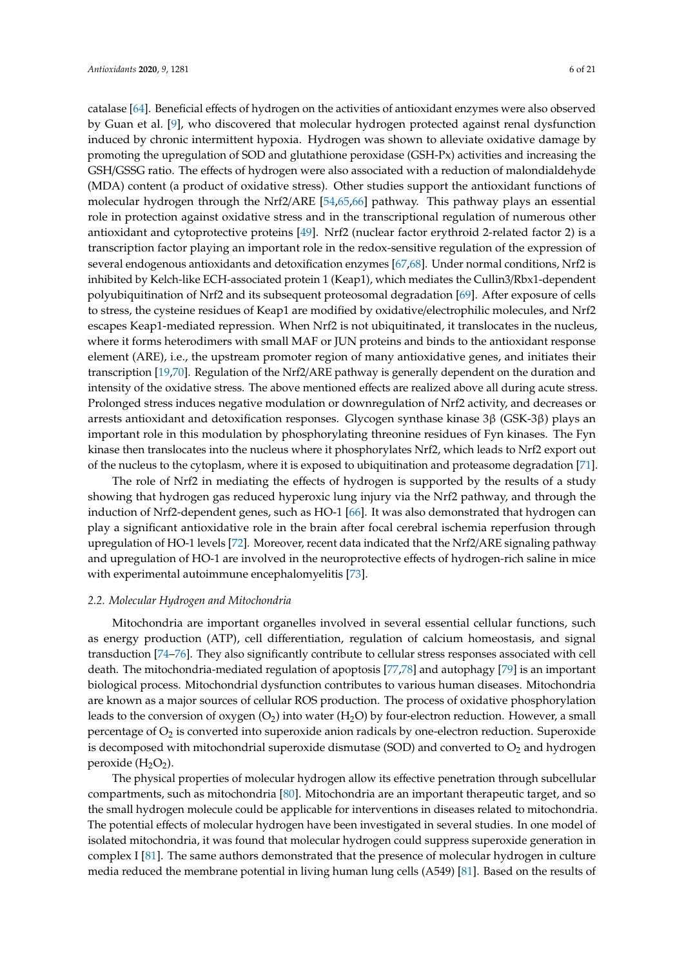catalase [\[64\]](#page-15-10). Beneficial effects of hydrogen on the activities of antioxidant enzymes were also observed by Guan et al. [\[9\]](#page-12-8), who discovered that molecular hydrogen protected against renal dysfunction induced by chronic intermittent hypoxia. Hydrogen was shown to alleviate oxidative damage by promoting the upregulation of SOD and glutathione peroxidase (GSH-Px) activities and increasing the GSH/GSSG ratio. The effects of hydrogen were also associated with a reduction of malondialdehyde (MDA) content (a product of oxidative stress). Other studies support the antioxidant functions of molecular hydrogen through the Nrf2/ARE [\[54,](#page-15-1)[65,](#page-15-11)[66\]](#page-15-12) pathway. This pathway plays an essential role in protection against oxidative stress and in the transcriptional regulation of numerous other antioxidant and cytoprotective proteins [\[49\]](#page-14-16). Nrf2 (nuclear factor erythroid 2-related factor 2) is a transcription factor playing an important role in the redox-sensitive regulation of the expression of several endogenous antioxidants and detoxification enzymes [\[67,](#page-15-13)[68\]](#page-15-14). Under normal conditions, Nrf2 is inhibited by Kelch-like ECH-associated protein 1 (Keap1), which mediates the Cullin3/Rbx1-dependent polyubiquitination of Nrf2 and its subsequent proteosomal degradation [\[69\]](#page-15-15). After exposure of cells to stress, the cysteine residues of Keap1 are modified by oxidative/electrophilic molecules, and Nrf2 escapes Keap1-mediated repression. When Nrf2 is not ubiquitinated, it translocates in the nucleus, where it forms heterodimers with small MAF or JUN proteins and binds to the antioxidant response element (ARE), i.e., the upstream promoter region of many antioxidative genes, and initiates their transcription [\[19](#page-13-5)[,70\]](#page-15-16). Regulation of the Nrf2/ARE pathway is generally dependent on the duration and intensity of the oxidative stress. The above mentioned effects are realized above all during acute stress. Prolonged stress induces negative modulation or downregulation of Nrf2 activity, and decreases or arrests antioxidant and detoxification responses. Glycogen synthase kinase 3β (GSK-3β) plays an important role in this modulation by phosphorylating threonine residues of Fyn kinases. The Fyn kinase then translocates into the nucleus where it phosphorylates Nrf2, which leads to Nrf2 export out of the nucleus to the cytoplasm, where it is exposed to ubiquitination and proteasome degradation [\[71\]](#page-15-17).

The role of Nrf2 in mediating the effects of hydrogen is supported by the results of a study showing that hydrogen gas reduced hyperoxic lung injury via the Nrf2 pathway, and through the induction of Nrf2-dependent genes, such as HO-1 [\[66\]](#page-15-12). It was also demonstrated that hydrogen can play a significant antioxidative role in the brain after focal cerebral ischemia reperfusion through upregulation of HO-1 levels [\[72\]](#page-15-18). Moreover, recent data indicated that the Nrf2/ARE signaling pathway and upregulation of HO-1 are involved in the neuroprotective effects of hydrogen-rich saline in mice with experimental autoimmune encephalomyelitis [\[73\]](#page-16-0).

#### *2.2. Molecular Hydrogen and Mitochondria*

Mitochondria are important organelles involved in several essential cellular functions, such as energy production (ATP), cell differentiation, regulation of calcium homeostasis, and signal transduction [\[74](#page-16-1)[–76\]](#page-16-2). They also significantly contribute to cellular stress responses associated with cell death. The mitochondria-mediated regulation of apoptosis [\[77,](#page-16-3)[78\]](#page-16-4) and autophagy [\[79\]](#page-16-5) is an important biological process. Mitochondrial dysfunction contributes to various human diseases. Mitochondria are known as a major sources of cellular ROS production. The process of oxidative phosphorylation leads to the conversion of oxygen  $(O_2)$  into water  $(H_2O)$  by four-electron reduction. However, a small percentage of  $O_2$  is converted into superoxide anion radicals by one-electron reduction. Superoxide is decomposed with mitochondrial superoxide dismutase (SOD) and converted to  $O_2$  and hydrogen peroxide  $(H_2O_2)$ .

The physical properties of molecular hydrogen allow its effective penetration through subcellular compartments, such as mitochondria [\[80\]](#page-16-6). Mitochondria are an important therapeutic target, and so the small hydrogen molecule could be applicable for interventions in diseases related to mitochondria. The potential effects of molecular hydrogen have been investigated in several studies. In one model of isolated mitochondria, it was found that molecular hydrogen could suppress superoxide generation in complex I [\[81\]](#page-16-7). The same authors demonstrated that the presence of molecular hydrogen in culture media reduced the membrane potential in living human lung cells (A549) [\[81\]](#page-16-7). Based on the results of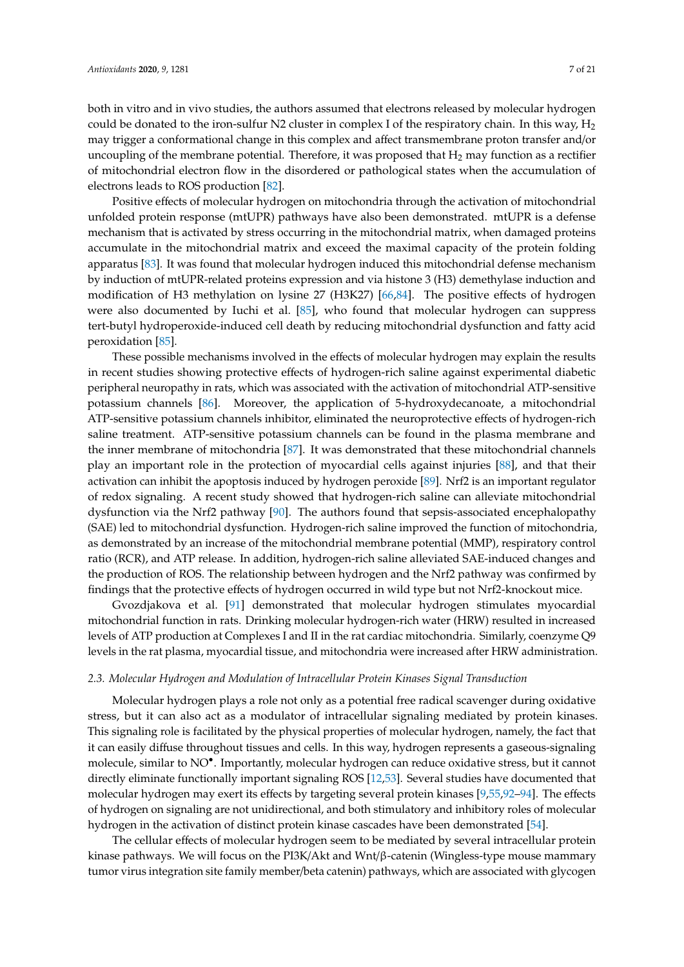both in vitro and in vivo studies, the authors assumed that electrons released by molecular hydrogen could be donated to the iron-sulfur N2 cluster in complex I of the respiratory chain. In this way,  $H_2$ may trigger a conformational change in this complex and affect transmembrane proton transfer and/or uncoupling of the membrane potential. Therefore, it was proposed that  $H_2$  may function as a rectifier of mitochondrial electron flow in the disordered or pathological states when the accumulation of electrons leads to ROS production [\[82\]](#page-16-8).

Positive effects of molecular hydrogen on mitochondria through the activation of mitochondrial unfolded protein response (mtUPR) pathways have also been demonstrated. mtUPR is a defense mechanism that is activated by stress occurring in the mitochondrial matrix, when damaged proteins accumulate in the mitochondrial matrix and exceed the maximal capacity of the protein folding apparatus [\[83\]](#page-16-9). It was found that molecular hydrogen induced this mitochondrial defense mechanism by induction of mtUPR-related proteins expression and via histone 3 (H3) demethylase induction and modification of H3 methylation on lysine 27 (H3K27) [\[66,](#page-15-12)[84\]](#page-16-10). The positive effects of hydrogen were also documented by Iuchi et al. [\[85\]](#page-16-11), who found that molecular hydrogen can suppress tert-butyl hydroperoxide-induced cell death by reducing mitochondrial dysfunction and fatty acid peroxidation [\[85\]](#page-16-11).

These possible mechanisms involved in the effects of molecular hydrogen may explain the results in recent studies showing protective effects of hydrogen-rich saline against experimental diabetic peripheral neuropathy in rats, which was associated with the activation of mitochondrial ATP-sensitive potassium channels [\[86\]](#page-16-12). Moreover, the application of 5-hydroxydecanoate, a mitochondrial ATP-sensitive potassium channels inhibitor, eliminated the neuroprotective effects of hydrogen-rich saline treatment. ATP-sensitive potassium channels can be found in the plasma membrane and the inner membrane of mitochondria [\[87\]](#page-16-13). It was demonstrated that these mitochondrial channels play an important role in the protection of myocardial cells against injuries [\[88\]](#page-16-14), and that their activation can inhibit the apoptosis induced by hydrogen peroxide [\[89\]](#page-16-15). Nrf2 is an important regulator of redox signaling. A recent study showed that hydrogen-rich saline can alleviate mitochondrial dysfunction via the Nrf2 pathway [\[90\]](#page-16-16). The authors found that sepsis-associated encephalopathy (SAE) led to mitochondrial dysfunction. Hydrogen-rich saline improved the function of mitochondria, as demonstrated by an increase of the mitochondrial membrane potential (MMP), respiratory control ratio (RCR), and ATP release. In addition, hydrogen-rich saline alleviated SAE-induced changes and the production of ROS. The relationship between hydrogen and the Nrf2 pathway was confirmed by findings that the protective effects of hydrogen occurred in wild type but not Nrf2-knockout mice.

Gvozdjakova et al. [\[91\]](#page-16-17) demonstrated that molecular hydrogen stimulates myocardial mitochondrial function in rats. Drinking molecular hydrogen-rich water (HRW) resulted in increased levels of ATP production at Complexes I and II in the rat cardiac mitochondria. Similarly, coenzyme Q9 levels in the rat plasma, myocardial tissue, and mitochondria were increased after HRW administration.

#### *2.3. Molecular Hydrogen and Modulation of Intracellular Protein Kinases Signal Transduction*

Molecular hydrogen plays a role not only as a potential free radical scavenger during oxidative stress, but it can also act as a modulator of intracellular signaling mediated by protein kinases. This signaling role is facilitated by the physical properties of molecular hydrogen, namely, the fact that it can easily diffuse throughout tissues and cells. In this way, hydrogen represents a gaseous-signaling molecule, similar to NO• . Importantly, molecular hydrogen can reduce oxidative stress, but it cannot directly eliminate functionally important signaling ROS [\[12,](#page-12-11)[53\]](#page-15-0). Several studies have documented that molecular hydrogen may exert its effects by targeting several protein kinases [\[9,](#page-12-8)[55,](#page-15-19)[92](#page-16-18)[–94\]](#page-17-0). The effects of hydrogen on signaling are not unidirectional, and both stimulatory and inhibitory roles of molecular hydrogen in the activation of distinct protein kinase cascades have been demonstrated [\[54\]](#page-15-1).

The cellular effects of molecular hydrogen seem to be mediated by several intracellular protein kinase pathways. We will focus on the PI3K/Akt and Wnt/β-catenin (Wingless-type mouse mammary tumor virus integration site family member/beta catenin) pathways, which are associated with glycogen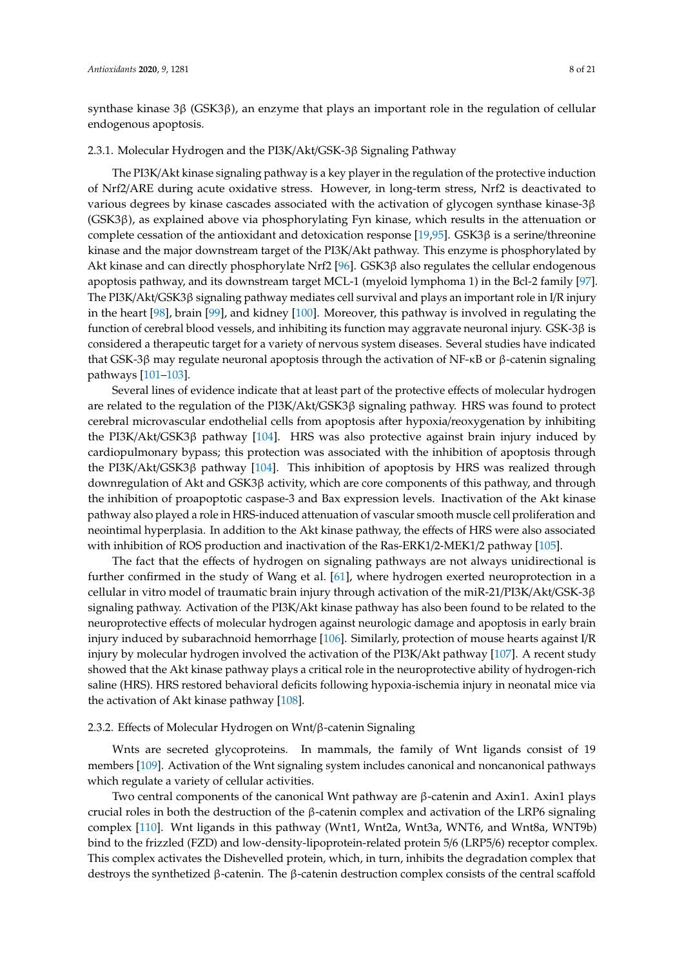synthase kinase 3β (GSK3β), an enzyme that plays an important role in the regulation of cellular endogenous apoptosis.

# 2.3.1. Molecular Hydrogen and the PI3K/Akt/GSK-3β Signaling Pathway

The PI3K/Akt kinase signaling pathway is a key player in the regulation of the protective induction of Nrf2/ARE during acute oxidative stress. However, in long-term stress, Nrf2 is deactivated to various degrees by kinase cascades associated with the activation of glycogen synthase kinase-3β (GSK3β), as explained above via phosphorylating Fyn kinase, which results in the attenuation or complete cessation of the antioxidant and detoxication response [ $19,95$ ]. GSK3 $\beta$  is a serine/threonine kinase and the major downstream target of the PI3K/Akt pathway. This enzyme is phosphorylated by Akt kinase and can directly phosphorylate Nrf2 [\[96\]](#page-17-2). GSK3β also regulates the cellular endogenous apoptosis pathway, and its downstream target MCL-1 (myeloid lymphoma 1) in the Bcl-2 family [\[97\]](#page-17-3). The PI3K/Akt/GSK3β signaling pathway mediates cell survival and plays an important role in I/R injury in the heart [\[98\]](#page-17-4), brain [\[99\]](#page-17-5), and kidney [\[100\]](#page-17-6). Moreover, this pathway is involved in regulating the function of cerebral blood vessels, and inhibiting its function may aggravate neuronal injury. GSK-3β is considered a therapeutic target for a variety of nervous system diseases. Several studies have indicated that GSK-3β may regulate neuronal apoptosis through the activation of NF-κB or β-catenin signaling pathways [\[101](#page-17-7)[–103\]](#page-17-8).

Several lines of evidence indicate that at least part of the protective effects of molecular hydrogen are related to the regulation of the PI3K/Akt/GSK3β signaling pathway. HRS was found to protect cerebral microvascular endothelial cells from apoptosis after hypoxia/reoxygenation by inhibiting the PI3K/Akt/GSK3β pathway [\[104\]](#page-17-9). HRS was also protective against brain injury induced by cardiopulmonary bypass; this protection was associated with the inhibition of apoptosis through the PI3K/Akt/GSK3 $\beta$  pathway [\[104\]](#page-17-9). This inhibition of apoptosis by HRS was realized through downregulation of Akt and GSK3β activity, which are core components of this pathway, and through the inhibition of proapoptotic caspase-3 and Bax expression levels. Inactivation of the Akt kinase pathway also played a role in HRS-induced attenuation of vascular smooth muscle cell proliferation and neointimal hyperplasia. In addition to the Akt kinase pathway, the effects of HRS were also associated with inhibition of ROS production and inactivation of the Ras-ERK1/2-MEK1/2 pathway [\[105\]](#page-17-10).

The fact that the effects of hydrogen on signaling pathways are not always unidirectional is further confirmed in the study of Wang et al. [\[61\]](#page-15-7), where hydrogen exerted neuroprotection in a cellular in vitro model of traumatic brain injury through activation of the miR-21/PI3K/Akt/GSK-3β signaling pathway. Activation of the PI3K/Akt kinase pathway has also been found to be related to the neuroprotective effects of molecular hydrogen against neurologic damage and apoptosis in early brain injury induced by subarachnoid hemorrhage [\[106\]](#page-17-11). Similarly, protection of mouse hearts against I/R injury by molecular hydrogen involved the activation of the PI3K/Akt pathway [\[107\]](#page-17-12). A recent study showed that the Akt kinase pathway plays a critical role in the neuroprotective ability of hydrogen-rich saline (HRS). HRS restored behavioral deficits following hypoxia-ischemia injury in neonatal mice via the activation of Akt kinase pathway [\[108\]](#page-17-13).

#### 2.3.2. Effects of Molecular Hydrogen on Wnt/β-catenin Signaling

Wnts are secreted glycoproteins. In mammals, the family of Wnt ligands consist of 19 members [\[109\]](#page-17-14). Activation of the Wnt signaling system includes canonical and noncanonical pathways which regulate a variety of cellular activities.

Two central components of the canonical Wnt pathway are β-catenin and Axin1. Axin1 plays crucial roles in both the destruction of the β-catenin complex and activation of the LRP6 signaling complex [\[110\]](#page-17-15). Wnt ligands in this pathway (Wnt1, Wnt2a, Wnt3a, WNT6, and Wnt8a, WNT9b) bind to the frizzled (FZD) and low-density-lipoprotein-related protein 5/6 (LRP5/6) receptor complex. This complex activates the Dishevelled protein, which, in turn, inhibits the degradation complex that destroys the synthetized β-catenin. The β-catenin destruction complex consists of the central scaffold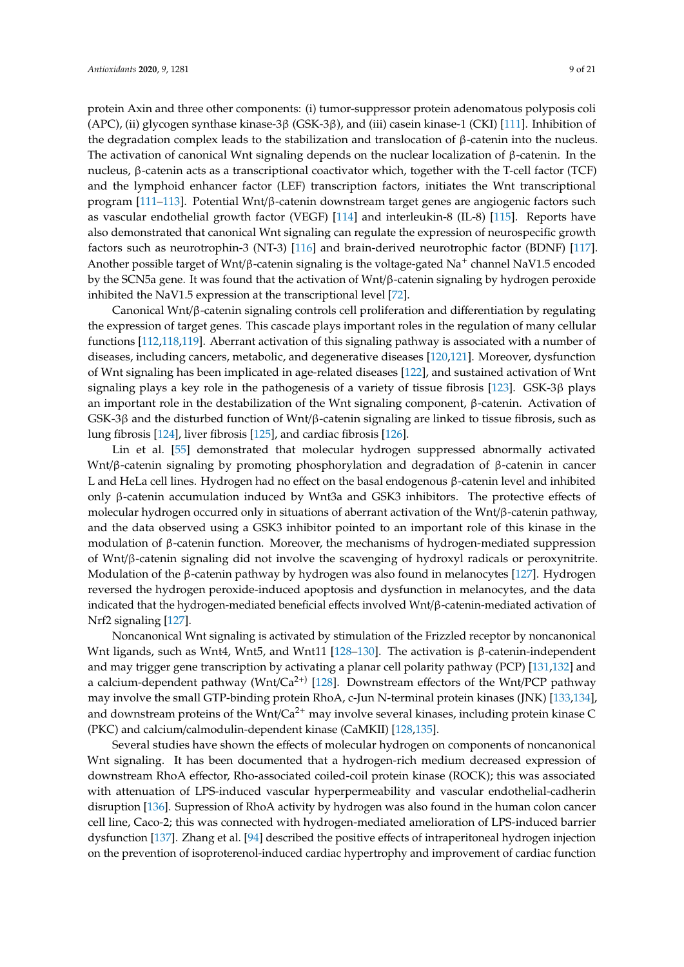protein Axin and three other components: (i) tumor-suppressor protein adenomatous polyposis coli (APC), (ii) glycogen synthase kinase-3β (GSK-3β), and (iii) casein kinase-1 (CKI) [\[111\]](#page-17-16). Inhibition of the degradation complex leads to the stabilization and translocation of  $\beta$ -catenin into the nucleus. The activation of canonical Wnt signaling depends on the nuclear localization of  $\beta$ -catenin. In the nucleus, β-catenin acts as a transcriptional coactivator which, together with the T-cell factor (TCF) and the lymphoid enhancer factor (LEF) transcription factors, initiates the Wnt transcriptional program [\[111–](#page-17-16)[113\]](#page-18-0). Potential Wnt/β-catenin downstream target genes are angiogenic factors such as vascular endothelial growth factor (VEGF) [\[114\]](#page-18-1) and interleukin-8 (IL-8) [\[115\]](#page-18-2). Reports have also demonstrated that canonical Wnt signaling can regulate the expression of neurospecific growth factors such as neurotrophin-3 (NT-3) [\[116\]](#page-18-3) and brain-derived neurotrophic factor (BDNF) [\[117\]](#page-18-4). Another possible target of Wnt/β-catenin signaling is the voltage-gated Na<sup>+</sup> channel NaV1.5 encoded by the SCN5a gene. It was found that the activation of Wnt/β-catenin signaling by hydrogen peroxide inhibited the NaV1.5 expression at the transcriptional level [\[72\]](#page-15-18).

Canonical Wnt/β-catenin signaling controls cell proliferation and differentiation by regulating the expression of target genes. This cascade plays important roles in the regulation of many cellular functions [\[112](#page-18-5)[,118](#page-18-6)[,119\]](#page-18-7). Aberrant activation of this signaling pathway is associated with a number of diseases, including cancers, metabolic, and degenerative diseases [\[120,](#page-18-8)[121\]](#page-18-9). Moreover, dysfunction of Wnt signaling has been implicated in age-related diseases [\[122\]](#page-18-10), and sustained activation of Wnt signaling plays a key role in the pathogenesis of a variety of tissue fibrosis [\[123\]](#page-18-11). GSK-3β plays an important role in the destabilization of the Wnt signaling component, β-catenin. Activation of GSK-3β and the disturbed function of Wnt/β-catenin signaling are linked to tissue fibrosis, such as lung fibrosis [\[124\]](#page-18-12), liver fibrosis [\[125\]](#page-18-13), and cardiac fibrosis [\[126\]](#page-18-14).

Lin et al. [\[55\]](#page-15-19) demonstrated that molecular hydrogen suppressed abnormally activated Wnt/β-catenin signaling by promoting phosphorylation and degradation of β-catenin in cancer L and HeLa cell lines. Hydrogen had no effect on the basal endogenous β-catenin level and inhibited only β-catenin accumulation induced by Wnt3a and GSK3 inhibitors. The protective effects of molecular hydrogen occurred only in situations of aberrant activation of the Wnt/β-catenin pathway, and the data observed using a GSK3 inhibitor pointed to an important role of this kinase in the modulation of β-catenin function. Moreover, the mechanisms of hydrogen-mediated suppression of Wnt/β-catenin signaling did not involve the scavenging of hydroxyl radicals or peroxynitrite. Modulation of the β-catenin pathway by hydrogen was also found in melanocytes [\[127\]](#page-18-15). Hydrogen reversed the hydrogen peroxide-induced apoptosis and dysfunction in melanocytes, and the data indicated that the hydrogen-mediated beneficial effects involved Wnt/β-catenin-mediated activation of Nrf2 signaling [\[127\]](#page-18-15).

Noncanonical Wnt signaling is activated by stimulation of the Frizzled receptor by noncanonical Wnt ligands, such as Wnt4, Wnt5, and Wnt11 [\[128](#page-18-16)[–130\]](#page-18-17). The activation is β-catenin-independent and may trigger gene transcription by activating a planar cell polarity pathway (PCP) [\[131](#page-18-18)[,132\]](#page-18-19) and a calcium-dependent pathway (Wnt/Ca<sup>2+)</sup> [\[128\]](#page-18-16). Downstream effectors of the Wnt/PCP pathway may involve the small GTP-binding protein RhoA, c-Jun N-terminal protein kinases (JNK) [\[133,](#page-18-20)[134\]](#page-19-0), and downstream proteins of the Wnt/ $Ca^{2+}$  may involve several kinases, including protein kinase C (PKC) and calcium/calmodulin-dependent kinase (CaMKII) [\[128,](#page-18-16)[135\]](#page-19-1).

Several studies have shown the effects of molecular hydrogen on components of noncanonical Wnt signaling. It has been documented that a hydrogen-rich medium decreased expression of downstream RhoA effector, Rho-associated coiled-coil protein kinase (ROCK); this was associated with attenuation of LPS-induced vascular hyperpermeability and vascular endothelial-cadherin disruption [\[136\]](#page-19-2). Supression of RhoA activity by hydrogen was also found in the human colon cancer cell line, Caco-2; this was connected with hydrogen-mediated amelioration of LPS-induced barrier dysfunction [\[137\]](#page-19-3). Zhang et al. [\[94\]](#page-17-0) described the positive effects of intraperitoneal hydrogen injection on the prevention of isoproterenol-induced cardiac hypertrophy and improvement of cardiac function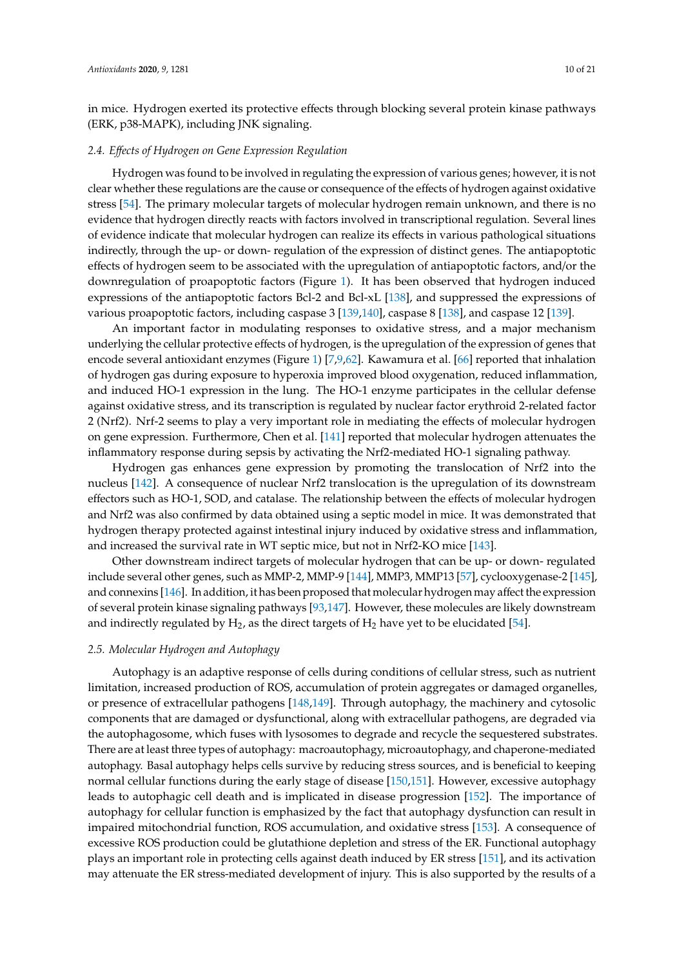in mice. Hydrogen exerted its protective effects through blocking several protein kinase pathways (ERK, p38-MAPK), including JNK signaling.

# *2.4. E*ff*ects of Hydrogen on Gene Expression Regulation*

Hydrogen was found to be involved in regulating the expression of various genes; however, it is not clear whether these regulations are the cause or consequence of the effects of hydrogen against oxidative stress [\[54\]](#page-15-1). The primary molecular targets of molecular hydrogen remain unknown, and there is no evidence that hydrogen directly reacts with factors involved in transcriptional regulation. Several lines of evidence indicate that molecular hydrogen can realize its effects in various pathological situations indirectly, through the up- or down- regulation of the expression of distinct genes. The antiapoptotic effects of hydrogen seem to be associated with the upregulation of antiapoptotic factors, and/or the downregulation of proapoptotic factors (Figure [1\)](#page-1-0). It has been observed that hydrogen induced expressions of the antiapoptotic factors Bcl-2 and Bcl-xL [\[138\]](#page-19-4), and suppressed the expressions of various proapoptotic factors, including caspase 3 [\[139](#page-19-5)[,140\]](#page-19-6), caspase 8 [\[138\]](#page-19-4), and caspase 12 [\[139\]](#page-19-5).

An important factor in modulating responses to oxidative stress, and a major mechanism underlying the cellular protective effects of hydrogen, is the upregulation of the expression of genes that encode several antioxidant enzymes (Figure [1\)](#page-1-0) [\[7,](#page-12-6)[9,](#page-12-8)[62\]](#page-15-8). Kawamura et al. [\[66\]](#page-15-12) reported that inhalation of hydrogen gas during exposure to hyperoxia improved blood oxygenation, reduced inflammation, and induced HO-1 expression in the lung. The HO-1 enzyme participates in the cellular defense against oxidative stress, and its transcription is regulated by nuclear factor erythroid 2-related factor 2 (Nrf2). Nrf-2 seems to play a very important role in mediating the effects of molecular hydrogen on gene expression. Furthermore, Chen et al. [\[141\]](#page-19-7) reported that molecular hydrogen attenuates the inflammatory response during sepsis by activating the Nrf2-mediated HO-1 signaling pathway.

Hydrogen gas enhances gene expression by promoting the translocation of Nrf2 into the nucleus [\[142\]](#page-19-8). A consequence of nuclear Nrf2 translocation is the upregulation of its downstream effectors such as HO-1, SOD, and catalase. The relationship between the effects of molecular hydrogen and Nrf2 was also confirmed by data obtained using a septic model in mice. It was demonstrated that hydrogen therapy protected against intestinal injury induced by oxidative stress and inflammation, and increased the survival rate in WT septic mice, but not in Nrf2-KO mice [\[143\]](#page-19-9).

Other downstream indirect targets of molecular hydrogen that can be up- or down- regulated include several other genes, such as MMP-2, MMP-9 [\[144\]](#page-19-10), MMP3, MMP13 [\[57\]](#page-15-3), cyclooxygenase-2 [\[145\]](#page-19-11), and connexins [\[146\]](#page-19-12). In addition, it has been proposed that molecular hydrogen may affect the expression of several protein kinase signaling pathways [\[93](#page-17-17)[,147\]](#page-19-13). However, these molecules are likely downstream and indirectly regulated by  $H_2$ , as the direct targets of  $H_2$  have yet to be elucidated [\[54\]](#page-15-1).

# *2.5. Molecular Hydrogen and Autophagy*

Autophagy is an adaptive response of cells during conditions of cellular stress, such as nutrient limitation, increased production of ROS, accumulation of protein aggregates or damaged organelles, or presence of extracellular pathogens [\[148](#page-19-14)[,149\]](#page-19-15). Through autophagy, the machinery and cytosolic components that are damaged or dysfunctional, along with extracellular pathogens, are degraded via the autophagosome, which fuses with lysosomes to degrade and recycle the sequestered substrates. There are at least three types of autophagy: macroautophagy, microautophagy, and chaperone-mediated autophagy. Basal autophagy helps cells survive by reducing stress sources, and is beneficial to keeping normal cellular functions during the early stage of disease [\[150](#page-19-16)[,151\]](#page-19-17). However, excessive autophagy leads to autophagic cell death and is implicated in disease progression [\[152\]](#page-19-18). The importance of autophagy for cellular function is emphasized by the fact that autophagy dysfunction can result in impaired mitochondrial function, ROS accumulation, and oxidative stress [\[153\]](#page-19-19). A consequence of excessive ROS production could be glutathione depletion and stress of the ER. Functional autophagy plays an important role in protecting cells against death induced by ER stress [\[151\]](#page-19-17), and its activation may attenuate the ER stress-mediated development of injury. This is also supported by the results of a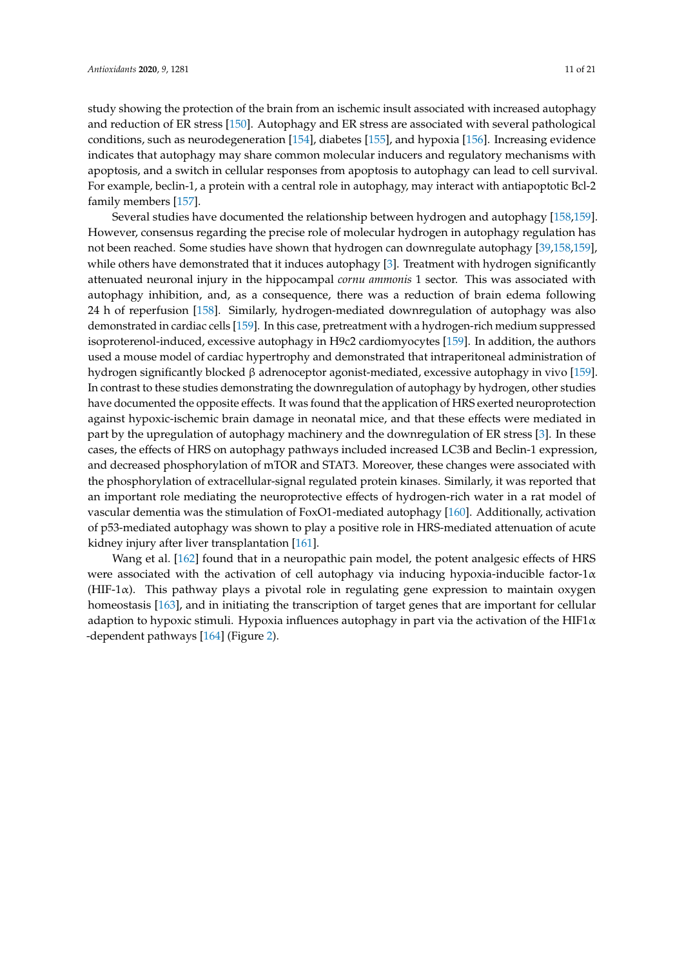study showing the protection of the brain from an ischemic insult associated with increased autophagy and reduction of ER stress [\[150\]](#page-19-16). Autophagy and ER stress are associated with several pathological conditions, such as neurodegeneration [\[154\]](#page-20-0), diabetes [\[155\]](#page-20-1), and hypoxia [\[156\]](#page-20-2). Increasing evidence indicates that autophagy may share common molecular inducers and regulatory mechanisms with apoptosis, and a switch in cellular responses from apoptosis to autophagy can lead to cell survival. For example, beclin-1, a protein with a central role in autophagy, may interact with antiapoptotic Bcl-2 family members [\[157\]](#page-20-3).

Several studies have documented the relationship between hydrogen and autophagy [\[158,](#page-20-4)[159\]](#page-20-5). However, consensus regarding the precise role of molecular hydrogen in autophagy regulation has not been reached. Some studies have shown that hydrogen can downregulate autophagy [\[39](#page-14-6)[,158](#page-20-4)[,159\]](#page-20-5), while others have demonstrated that it induces autophagy [\[3\]](#page-12-2). Treatment with hydrogen significantly attenuated neuronal injury in the hippocampal *cornu ammonis* 1 sector. This was associated with autophagy inhibition, and, as a consequence, there was a reduction of brain edema following 24 h of reperfusion [\[158\]](#page-20-4). Similarly, hydrogen-mediated downregulation of autophagy was also demonstrated in cardiac cells [\[159\]](#page-20-5). In this case, pretreatment with a hydrogen-rich medium suppressed isoproterenol-induced, excessive autophagy in H9c2 cardiomyocytes [\[159\]](#page-20-5). In addition, the authors used a mouse model of cardiac hypertrophy and demonstrated that intraperitoneal administration of hydrogen significantly blocked β adrenoceptor agonist-mediated, excessive autophagy in vivo [\[159\]](#page-20-5). In contrast to these studies demonstrating the downregulation of autophagy by hydrogen, other studies have documented the opposite effects. It was found that the application of HRS exerted neuroprotection against hypoxic-ischemic brain damage in neonatal mice, and that these effects were mediated in part by the upregulation of autophagy machinery and the downregulation of ER stress [\[3\]](#page-12-2). In these cases, the effects of HRS on autophagy pathways included increased LC3B and Beclin-1 expression, and decreased phosphorylation of mTOR and STAT3. Moreover, these changes were associated with the phosphorylation of extracellular-signal regulated protein kinases. Similarly, it was reported that an important role mediating the neuroprotective effects of hydrogen-rich water in a rat model of vascular dementia was the stimulation of FoxO1-mediated autophagy [\[160\]](#page-20-6). Additionally, activation of p53-mediated autophagy was shown to play a positive role in HRS-mediated attenuation of acute kidney injury after liver transplantation [\[161\]](#page-20-7).

Wang et al. [\[162\]](#page-20-8) found that in a neuropathic pain model, the potent analgesic effects of HRS were associated with the activation of cell autophagy via inducing hypoxia-inducible factor- $1\alpha$ (HIF-1 $\alpha$ ). This pathway plays a pivotal role in regulating gene expression to maintain oxygen homeostasis [\[163\]](#page-20-9), and in initiating the transcription of target genes that are important for cellular adaption to hypoxic stimuli. Hypoxia influences autophagy in part via the activation of the HIF1 $\alpha$ -dependent pathways [\[164\]](#page-20-10) (Figure [2\)](#page-11-0).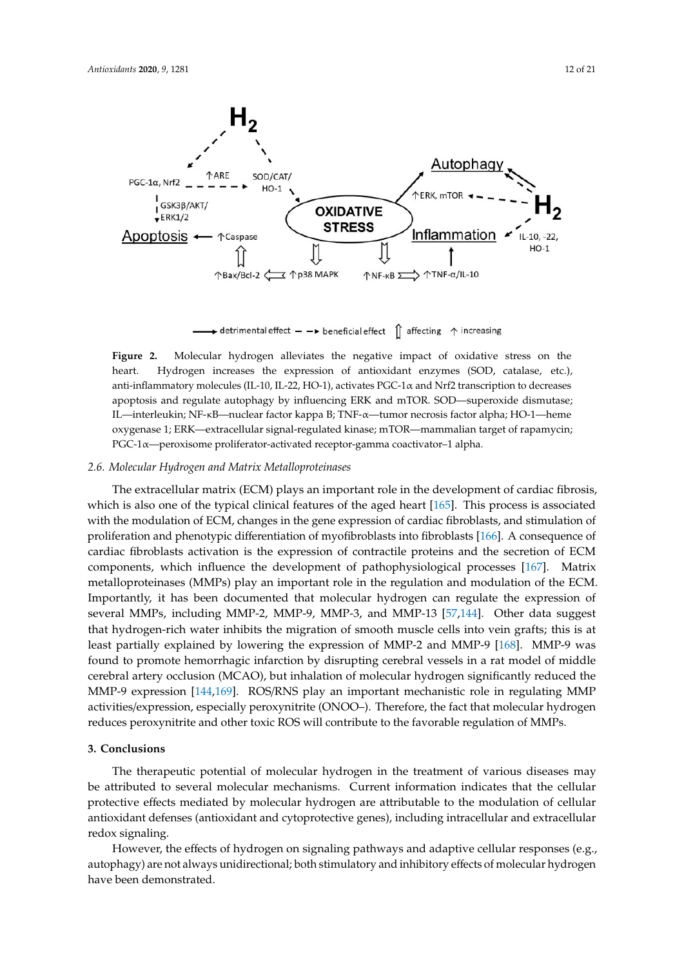<span id="page-11-0"></span>

 $\rightarrow$  detrimental effect  $\rightarrow$  beneficial effect  $\int$  affecting  $\uparrow$  increasing

anti-inflammatory molecules (IL-10, IL-22, HO-1), activates PGC-1α and Nrf2 transcription to decreases apoptosis and regulate autophagy by influencing ERK and mTOR. SOD—superoxide dismutase; IL—interleukin; NF-κB—nuclear factor kappa B; TNF-α—tumor necrosis factor alpha; HO-1—heme oxygenase 1; ERK—extracellular signal-regulated kinase; mTOR—mammalian target of rapamycin; PGC-1 $\alpha$ —peroxisome proliferator-activated receptor-gamma coactivator–1 alpha. **Figure 2.** Molecular hydrogen alleviates the negative impact of oxidative stress on the heart. Hydrogen increases the expression of antioxidant enzymes (SOD, catalase, etc.),

# 2.6. Molecular Hydrogen and Matrix Metalloproteinases

which is also one of the typical clinical features of the aged heart [\[165\]](#page-20-11). This process is associated The extracellular matrix (ECM) plays an important role in the development of cardiac fibrosis, with the modulation of ECM, changes in the gene expression of cardiac fibroblasts, and stimulation of proliferation and phenotypic differentiation of myofibroblasts into fibroblasts [\[166\]](#page-20-12). A consequence of cardiac fibroblasts activation is the expression of contractile proteins and the secretion of ECM components, which influence the development of pathophysiological processes [\[167\]](#page-20-13). Matrix metalloproteinases (MMPs) play an important role in the regulation and modulation of the ECM. Importantly, it has been documented that molecular hydrogen can regulate the expression of several MMPs, including MMP-2, MMP-9, MMP-3, and MMP-13 [\[57,](#page-15-3)[144\]](#page-19-10). Other data suggest that hydrogen-rich water inhibits the migration of smooth muscle cells into vein grafts; this is at least partially explained by lowering the expression of MMP-2 and MMP-9 [\[168\]](#page-20-14). MMP-9 was found to promote hemorrhagic infarction by disrupting cerebral vessels in a rat model of middle cerebral artery occlusion (MCAO), but inhalation of molecular hydrogen significantly reduced the MMP-9 expression [\[144,](#page-19-10)[169\]](#page-20-15). ROS/RNS play an important mechanistic role in regulating MMP activities/expression, especially peroxynitrite (ONOO–). Therefore, the fact that molecular hydrogen reduces peroxynitrite and other toxic ROS will contribute to the favorable regulation of MMPs.

# **3. Conclusions**

The therapeutic potential of molecular hydrogen in the treatment of various diseases may be attributed to several molecular mechanisms. Current information indicates that the cellular protective effects mediated by molecular hydrogen are attributable to the modulation of cellular antioxidant defenses (antioxidant and cytoprotective genes), including intracellular and extracellular redox signaling.

However, the effects of hydrogen on signaling pathways and adaptive cellular responses (e.g., autophagy) are not always unidirectional; both stimulatory and inhibitory effects of molecular hydrogen have been demonstrated.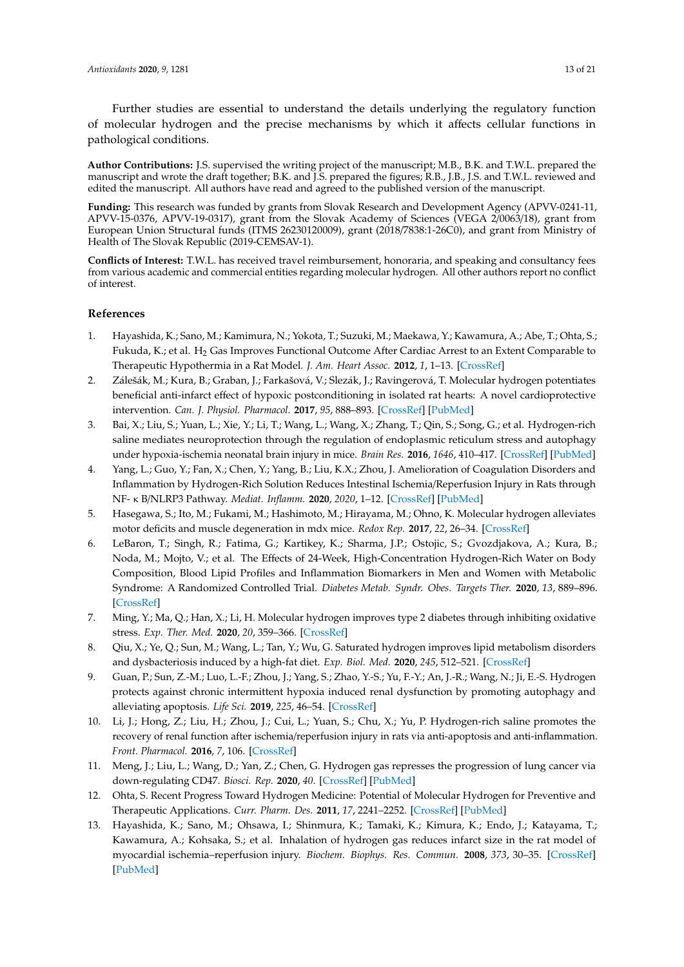Further studies are essential to understand the details underlying the regulatory function of molecular hydrogen and the precise mechanisms by which it affects cellular functions in pathological conditions.

**Author Contributions:** J.S. supervised the writing project of the manuscript; M.B., B.K. and T.W.L. prepared the manuscript and wrote the draft together; B.K. and J.S. prepared the figures; R.B., J.B., J.S. and T.W.L. reviewed and edited the manuscript. All authors have read and agreed to the published version of the manuscript.

**Funding:** This research was funded by grants from Slovak Research and Development Agency (APVV-0241-11, APVV-15-0376, APVV-19-0317), grant from the Slovak Academy of Sciences (VEGA 2/0063/18), grant from European Union Structural funds (ITMS 26230120009), grant (2018/7838:1-26C0), and grant from Ministry of Health of The Slovak Republic (2019-CEMSAV-1).

**Conflicts of Interest:** T.W.L. has received travel reimbursement, honoraria, and speaking and consultancy fees from various academic and commercial entities regarding molecular hydrogen. All other authors report no conflict of interest.

# **References**

- <span id="page-12-0"></span>1. Hayashida, K.; Sano, M.; Kamimura, N.; Yokota, T.; Suzuki, M.; Maekawa, Y.; Kawamura, A.; Abe, T.; Ohta, S.; Fukuda, K.; et al. H<sub>2</sub> Gas Improves Functional Outcome After Cardiac Arrest to an Extent Comparable to Therapeutic Hypothermia in a Rat Model. *J. Am. Heart Assoc.* **2012**, *1*, 1–13. [\[CrossRef\]](http://dx.doi.org/10.1161/JAHA.112.003459)
- <span id="page-12-1"></span>2. Zálešák, M.; Kura, B.; Graban, J.; Farkašová, V.; Slezák, J.; Ravingerová, T. Molecular hydrogen potentiates beneficial anti-infarct effect of hypoxic postconditioning in isolated rat hearts: A novel cardioprotective intervention. *Can. J. Physiol. Pharmacol.* **2017**, *95*, 888–893. [\[CrossRef\]](http://dx.doi.org/10.1139/cjpp-2016-0693) [\[PubMed\]](http://www.ncbi.nlm.nih.gov/pubmed/28350967)
- <span id="page-12-2"></span>3. Bai, X.; Liu, S.; Yuan, L.; Xie, Y.; Li, T.; Wang, L.; Wang, X.; Zhang, T.; Qin, S.; Song, G.; et al. Hydrogen-rich saline mediates neuroprotection through the regulation of endoplasmic reticulum stress and autophagy under hypoxia-ischemia neonatal brain injury in mice. *Brain Res.* **2016**, *1646*, 410–417. [\[CrossRef\]](http://dx.doi.org/10.1016/j.brainres.2016.06.020) [\[PubMed\]](http://www.ncbi.nlm.nih.gov/pubmed/27317636)
- <span id="page-12-3"></span>4. Yang, L.; Guo, Y.; Fan, X.; Chen, Y.; Yang, B.; Liu, K.X.; Zhou, J. Amelioration of Coagulation Disorders and Inflammation by Hydrogen-Rich Solution Reduces Intestinal Ischemia/Reperfusion Injury in Rats through NF- κ B/NLRP3 Pathway. *Mediat. Inflamm.* **2020**, *2020*, 1–12. [\[CrossRef\]](http://dx.doi.org/10.1155/2020/4359305) [\[PubMed\]](http://www.ncbi.nlm.nih.gov/pubmed/32587471)
- <span id="page-12-4"></span>5. Hasegawa, S.; Ito, M.; Fukami, M.; Hashimoto, M.; Hirayama, M.; Ohno, K. Molecular hydrogen alleviates motor deficits and muscle degeneration in mdx mice. *Redox Rep.* **2017**, *22*, 26–34. [\[CrossRef\]](http://dx.doi.org/10.1080/13510002.2015.1135580)
- <span id="page-12-5"></span>6. LeBaron, T.; Singh, R.; Fatima, G.; Kartikey, K.; Sharma, J.P.; Ostojic, S.; Gvozdjakova, A.; Kura, B.; Noda, M.; Mojto, V.; et al. The Effects of 24-Week, High-Concentration Hydrogen-Rich Water on Body Composition, Blood Lipid Profiles and Inflammation Biomarkers in Men and Women with Metabolic Syndrome: A Randomized Controlled Trial. *Diabetes Metab. Syndr. Obes. Targets Ther.* **2020**, *13*, 889–896. [\[CrossRef\]](http://dx.doi.org/10.2147/DMSO.S240122)
- <span id="page-12-6"></span>7. Ming, Y.; Ma, Q.; Han, X.; Li, H. Molecular hydrogen improves type 2 diabetes through inhibiting oxidative stress. *Exp. Ther. Med.* **2020**, *20*, 359–366. [\[CrossRef\]](http://dx.doi.org/10.3892/etm.2020.8708)
- <span id="page-12-7"></span>8. Qiu, X.; Ye, Q.; Sun, M.; Wang, L.; Tan, Y.; Wu, G. Saturated hydrogen improves lipid metabolism disorders and dysbacteriosis induced by a high-fat diet. *Exp. Biol. Med.* **2020**, *245*, 512–521. [\[CrossRef\]](http://dx.doi.org/10.1177/1535370219898407)
- <span id="page-12-8"></span>9. Guan, P.; Sun, Z.-M.; Luo, L.-F.; Zhou, J.; Yang, S.; Zhao, Y.-S.; Yu, F.-Y.; An, J.-R.; Wang, N.; Ji, E.-S. Hydrogen protects against chronic intermittent hypoxia induced renal dysfunction by promoting autophagy and alleviating apoptosis. *Life Sci.* **2019**, *225*, 46–54. [\[CrossRef\]](http://dx.doi.org/10.1016/j.lfs.2019.04.005)
- <span id="page-12-9"></span>10. Li, J.; Hong, Z.; Liu, H.; Zhou, J.; Cui, L.; Yuan, S.; Chu, X.; Yu, P. Hydrogen-rich saline promotes the recovery of renal function after ischemia/reperfusion injury in rats via anti-apoptosis and anti-inflammation. *Front. Pharmacol.* **2016**, *7*, 106. [\[CrossRef\]](http://dx.doi.org/10.3389/fphar.2016.00106)
- <span id="page-12-10"></span>11. Meng, J.; Liu, L.; Wang, D.; Yan, Z.; Chen, G. Hydrogen gas represses the progression of lung cancer via down-regulating CD47. *Biosci. Rep.* **2020**, *40*. [\[CrossRef\]](http://dx.doi.org/10.1042/BSR20192761) [\[PubMed\]](http://www.ncbi.nlm.nih.gov/pubmed/32314789)
- <span id="page-12-11"></span>12. Ohta, S. Recent Progress Toward Hydrogen Medicine: Potential of Molecular Hydrogen for Preventive and Therapeutic Applications. *Curr. Pharm. Des.* **2011**, *17*, 2241–2252. [\[CrossRef\]](http://dx.doi.org/10.2174/138161211797052664) [\[PubMed\]](http://www.ncbi.nlm.nih.gov/pubmed/21736547)
- <span id="page-12-12"></span>13. Hayashida, K.; Sano, M.; Ohsawa, I.; Shinmura, K.; Tamaki, K.; Kimura, K.; Endo, J.; Katayama, T.; Kawamura, A.; Kohsaka, S.; et al. Inhalation of hydrogen gas reduces infarct size in the rat model of myocardial ischemia–reperfusion injury. *Biochem. Biophys. Res. Commun.* **2008**, *373*, 30–35. [\[CrossRef\]](http://dx.doi.org/10.1016/j.bbrc.2008.05.165) [\[PubMed\]](http://www.ncbi.nlm.nih.gov/pubmed/18541148)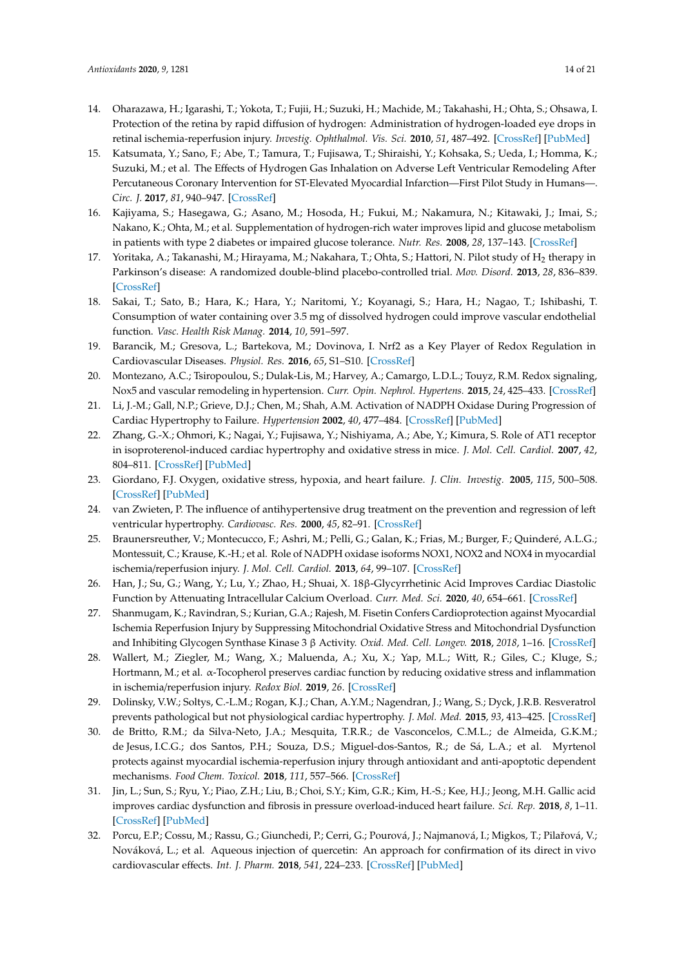- <span id="page-13-0"></span>14. Oharazawa, H.; Igarashi, T.; Yokota, T.; Fujii, H.; Suzuki, H.; Machide, M.; Takahashi, H.; Ohta, S.; Ohsawa, I. Protection of the retina by rapid diffusion of hydrogen: Administration of hydrogen-loaded eye drops in retinal ischemia-reperfusion injury. *Investig. Ophthalmol. Vis. Sci.* **2010**, *51*, 487–492. [\[CrossRef\]](http://dx.doi.org/10.1167/iovs.09-4089) [\[PubMed\]](http://www.ncbi.nlm.nih.gov/pubmed/19834032)
- <span id="page-13-1"></span>15. Katsumata, Y.; Sano, F.; Abe, T.; Tamura, T.; Fujisawa, T.; Shiraishi, Y.; Kohsaka, S.; Ueda, I.; Homma, K.; Suzuki, M.; et al. The Effects of Hydrogen Gas Inhalation on Adverse Left Ventricular Remodeling After Percutaneous Coronary Intervention for ST-Elevated Myocardial Infarction—First Pilot Study in Humans—. *Circ. J.* **2017**, *81*, 940–947. [\[CrossRef\]](http://dx.doi.org/10.1253/circj.CJ-17-0105)
- <span id="page-13-2"></span>16. Kajiyama, S.; Hasegawa, G.; Asano, M.; Hosoda, H.; Fukui, M.; Nakamura, N.; Kitawaki, J.; Imai, S.; Nakano, K.; Ohta, M.; et al. Supplementation of hydrogen-rich water improves lipid and glucose metabolism in patients with type 2 diabetes or impaired glucose tolerance. *Nutr. Res.* **2008**, *28*, 137–143. [\[CrossRef\]](http://dx.doi.org/10.1016/j.nutres.2008.01.008)
- <span id="page-13-3"></span>17. Yoritaka, A.; Takanashi, M.; Hirayama, M.; Nakahara, T.; Ohta, S.; Hattori, N. Pilot study of H $_2$  therapy in Parkinson's disease: A randomized double-blind placebo-controlled trial. *Mov. Disord.* **2013**, *28*, 836–839. [\[CrossRef\]](http://dx.doi.org/10.1002/mds.25375)
- <span id="page-13-4"></span>18. Sakai, T.; Sato, B.; Hara, K.; Hara, Y.; Naritomi, Y.; Koyanagi, S.; Hara, H.; Nagao, T.; Ishibashi, T. Consumption of water containing over 3.5 mg of dissolved hydrogen could improve vascular endothelial function. *Vasc. Health Risk Manag.* **2014**, *10*, 591–597.
- <span id="page-13-5"></span>19. Barancik, M.; Gresova, L.; Bartekova, M.; Dovinova, I. Nrf2 as a Key Player of Redox Regulation in Cardiovascular Diseases. *Physiol. Res.* **2016**, *65*, S1–S10. [\[CrossRef\]](http://dx.doi.org/10.33549/physiolres.933403)
- <span id="page-13-6"></span>20. Montezano, A.C.; Tsiropoulou, S.; Dulak-Lis, M.; Harvey, A.; Camargo, L.D.L.; Touyz, R.M. Redox signaling, Nox5 and vascular remodeling in hypertension. *Curr. Opin. Nephrol. Hypertens.* **2015**, *24*, 425–433. [\[CrossRef\]](http://dx.doi.org/10.1097/MNH.0000000000000153)
- <span id="page-13-7"></span>21. Li, J.-M.; Gall, N.P.; Grieve, D.J.; Chen, M.; Shah, A.M. Activation of NADPH Oxidase During Progression of Cardiac Hypertrophy to Failure. *Hypertension* **2002**, *40*, 477–484. [\[CrossRef\]](http://dx.doi.org/10.1161/01.HYP.0000032031.30374.32) [\[PubMed\]](http://www.ncbi.nlm.nih.gov/pubmed/12364350)
- <span id="page-13-8"></span>22. Zhang, G.-X.; Ohmori, K.; Nagai, Y.; Fujisawa, Y.; Nishiyama, A.; Abe, Y.; Kimura, S. Role of AT1 receptor in isoproterenol-induced cardiac hypertrophy and oxidative stress in mice. *J. Mol. Cell. Cardiol.* **2007**, *42*, 804–811. [\[CrossRef\]](http://dx.doi.org/10.1016/j.yjmcc.2007.01.012) [\[PubMed\]](http://www.ncbi.nlm.nih.gov/pubmed/17350036)
- <span id="page-13-9"></span>23. Giordano, F.J. Oxygen, oxidative stress, hypoxia, and heart failure. *J. Clin. Investig.* **2005**, *115*, 500–508. [\[CrossRef\]](http://dx.doi.org/10.1172/JCI200524408) [\[PubMed\]](http://www.ncbi.nlm.nih.gov/pubmed/15765131)
- <span id="page-13-10"></span>24. van Zwieten, P. The influence of antihypertensive drug treatment on the prevention and regression of left ventricular hypertrophy. *Cardiovasc. Res.* **2000**, *45*, 82–91. [\[CrossRef\]](http://dx.doi.org/10.1016/S0008-6363(99)00291-6)
- <span id="page-13-11"></span>25. Braunersreuther, V.; Montecucco, F.; Ashri, M.; Pelli, G.; Galan, K.; Frias, M.; Burger, F.; Quinderé, A.L.G.; Montessuit, C.; Krause, K.-H.; et al. Role of NADPH oxidase isoforms NOX1, NOX2 and NOX4 in myocardial ischemia/reperfusion injury. *J. Mol. Cell. Cardiol.* **2013**, *64*, 99–107. [\[CrossRef\]](http://dx.doi.org/10.1016/j.yjmcc.2013.09.007)
- 26. Han, J.; Su, G.; Wang, Y.; Lu, Y.; Zhao, H.; Shuai, X. 18β-Glycyrrhetinic Acid Improves Cardiac Diastolic Function by Attenuating Intracellular Calcium Overload. *Curr. Med. Sci.* **2020**, *40*, 654–661. [\[CrossRef\]](http://dx.doi.org/10.1007/s11596-020-2232-y)
- 27. Shanmugam, K.; Ravindran, S.; Kurian, G.A.; Rajesh, M. Fisetin Confers Cardioprotection against Myocardial Ischemia Reperfusion Injury by Suppressing Mitochondrial Oxidative Stress and Mitochondrial Dysfunction and Inhibiting Glycogen Synthase Kinase 3 β Activity. *Oxid. Med. Cell. Longev.* **2018**, *2018*, 1–16. [\[CrossRef\]](http://dx.doi.org/10.1155/2018/9173436)
- <span id="page-13-12"></span>28. Wallert, M.; Ziegler, M.; Wang, X.; Maluenda, A.; Xu, X.; Yap, M.L.; Witt, R.; Giles, C.; Kluge, S.; Hortmann, M.; et al. α-Tocopherol preserves cardiac function by reducing oxidative stress and inflammation in ischemia/reperfusion injury. *Redox Biol.* **2019**, *26*. [\[CrossRef\]](http://dx.doi.org/10.1016/j.redox.2019.101292)
- <span id="page-13-13"></span>29. Dolinsky, V.W.; Soltys, C.-L.M.; Rogan, K.J.; Chan, A.Y.M.; Nagendran, J.; Wang, S.; Dyck, J.R.B. Resveratrol prevents pathological but not physiological cardiac hypertrophy. *J. Mol. Med.* **2015**, *93*, 413–425. [\[CrossRef\]](http://dx.doi.org/10.1007/s00109-014-1220-8)
- 30. de Britto, R.M.; da Silva-Neto, J.A.; Mesquita, T.R.R.; de Vasconcelos, C.M.L.; de Almeida, G.K.M.; de Jesus, I.C.G.; dos Santos, P.H.; Souza, D.S.; Miguel-dos-Santos, R.; de Sá, L.A.; et al. Myrtenol protects against myocardial ischemia-reperfusion injury through antioxidant and anti-apoptotic dependent mechanisms. *Food Chem. Toxicol.* **2018**, *111*, 557–566. [\[CrossRef\]](http://dx.doi.org/10.1016/j.fct.2017.12.003)
- 31. Jin, L.; Sun, S.; Ryu, Y.; Piao, Z.H.; Liu, B.; Choi, S.Y.; Kim, G.R.; Kim, H.-S.; Kee, H.J.; Jeong, M.H. Gallic acid improves cardiac dysfunction and fibrosis in pressure overload-induced heart failure. *Sci. Rep.* **2018**, *8*, 1–11. [\[CrossRef\]](http://dx.doi.org/10.1038/s41598-018-27599-4) [\[PubMed\]](http://www.ncbi.nlm.nih.gov/pubmed/29915390)
- <span id="page-13-14"></span>32. Porcu, E.P.; Cossu, M.; Rassu, G.; Giunchedi, P.; Cerri, G.; Pourová, J.; Najmanová, I.; Migkos, T.; Pilařová, V.; Nováková, L.; et al. Aqueous injection of quercetin: An approach for confirmation of its direct in vivo cardiovascular effects. *Int. J. Pharm.* **2018**, *541*, 224–233. [\[CrossRef\]](http://dx.doi.org/10.1016/j.ijpharm.2018.02.036) [\[PubMed\]](http://www.ncbi.nlm.nih.gov/pubmed/29474897)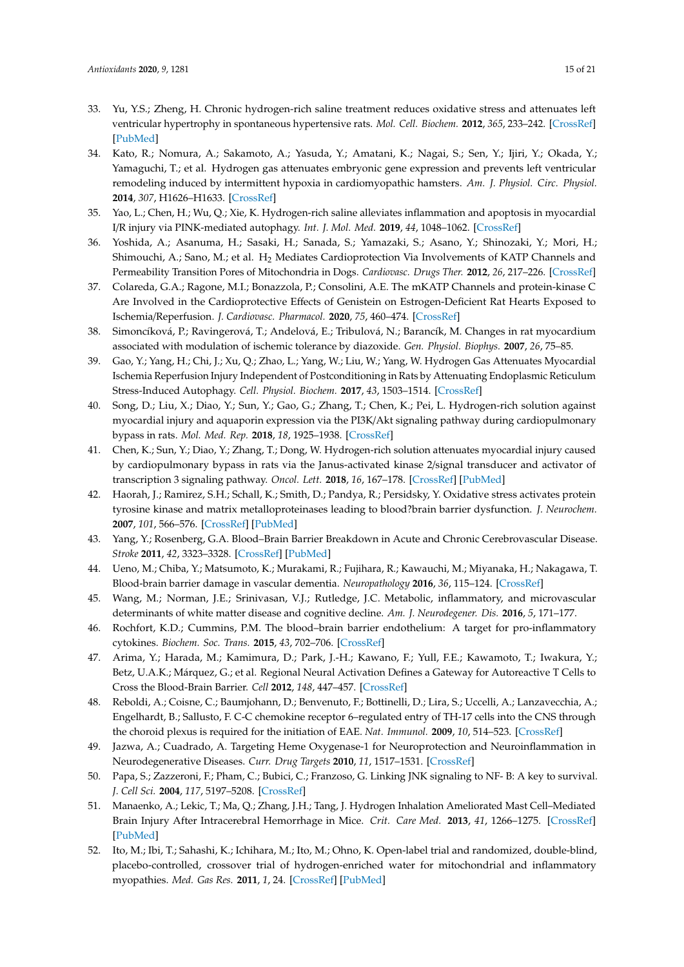- <span id="page-14-0"></span>33. Yu, Y.S.; Zheng, H. Chronic hydrogen-rich saline treatment reduces oxidative stress and attenuates left ventricular hypertrophy in spontaneous hypertensive rats. *Mol. Cell. Biochem.* **2012**, *365*, 233–242. [\[CrossRef\]](http://dx.doi.org/10.1007/s11010-012-1264-4) [\[PubMed\]](http://www.ncbi.nlm.nih.gov/pubmed/22350760)
- <span id="page-14-1"></span>34. Kato, R.; Nomura, A.; Sakamoto, A.; Yasuda, Y.; Amatani, K.; Nagai, S.; Sen, Y.; Ijiri, Y.; Okada, Y.; Yamaguchi, T.; et al. Hydrogen gas attenuates embryonic gene expression and prevents left ventricular remodeling induced by intermittent hypoxia in cardiomyopathic hamsters. *Am. J. Physiol. Circ. Physiol.* **2014**, *307*, H1626–H1633. [\[CrossRef\]](http://dx.doi.org/10.1152/ajpheart.00228.2014)
- <span id="page-14-2"></span>35. Yao, L.; Chen, H.; Wu, Q.; Xie, K. Hydrogen-rich saline alleviates inflammation and apoptosis in myocardial I/R injury via PINK-mediated autophagy. *Int. J. Mol. Med.* **2019**, *44*, 1048–1062. [\[CrossRef\]](http://dx.doi.org/10.3892/ijmm.2019.4264)
- <span id="page-14-3"></span>36. Yoshida, A.; Asanuma, H.; Sasaki, H.; Sanada, S.; Yamazaki, S.; Asano, Y.; Shinozaki, Y.; Mori, H.; Shimouchi, A.; Sano, M.; et al. H<sub>2</sub> Mediates Cardioprotection Via Involvements of KATP Channels and Permeability Transition Pores of Mitochondria in Dogs. *Cardiovasc. Drugs Ther.* **2012**, *26*, 217–226. [\[CrossRef\]](http://dx.doi.org/10.1007/s10557-012-6381-5)
- <span id="page-14-4"></span>37. Colareda, G.A.; Ragone, M.I.; Bonazzola, P.; Consolini, A.E. The mKATP Channels and protein-kinase C Are Involved in the Cardioprotective Effects of Genistein on Estrogen-Deficient Rat Hearts Exposed to Ischemia/Reperfusion. *J. Cardiovasc. Pharmacol.* **2020**, *75*, 460–474. [\[CrossRef\]](http://dx.doi.org/10.1097/FJC.0000000000000816)
- <span id="page-14-5"></span>38. Simoncíková, P.; Ravingerová, T.; Andelová, E.; Tribulová, N.; Barancík, M. Changes in rat myocardium associated with modulation of ischemic tolerance by diazoxide. *Gen. Physiol. Biophys.* **2007**, *26*, 75–85.
- <span id="page-14-6"></span>39. Gao, Y.; Yang, H.; Chi, J.; Xu, Q.; Zhao, L.; Yang, W.; Liu, W.; Yang, W. Hydrogen Gas Attenuates Myocardial Ischemia Reperfusion Injury Independent of Postconditioning in Rats by Attenuating Endoplasmic Reticulum Stress-Induced Autophagy. *Cell. Physiol. Biochem.* **2017**, *43*, 1503–1514. [\[CrossRef\]](http://dx.doi.org/10.1159/000481974)
- <span id="page-14-7"></span>40. Song, D.; Liu, X.; Diao, Y.; Sun, Y.; Gao, G.; Zhang, T.; Chen, K.; Pei, L. Hydrogen-rich solution against myocardial injury and aquaporin expression via the PI3K/Akt signaling pathway during cardiopulmonary bypass in rats. *Mol. Med. Rep.* **2018**, *18*, 1925–1938. [\[CrossRef\]](http://dx.doi.org/10.3892/mmr.2018.9198)
- <span id="page-14-8"></span>41. Chen, K.; Sun, Y.; Diao, Y.; Zhang, T.; Dong, W. Hydrogen-rich solution attenuates myocardial injury caused by cardiopulmonary bypass in rats via the Janus-activated kinase 2/signal transducer and activator of transcription 3 signaling pathway. *Oncol. Lett.* **2018**, *16*, 167–178. [\[CrossRef\]](http://dx.doi.org/10.3892/ol.2018.8639) [\[PubMed\]](http://www.ncbi.nlm.nih.gov/pubmed/29928398)
- <span id="page-14-9"></span>42. Haorah, J.; Ramirez, S.H.; Schall, K.; Smith, D.; Pandya, R.; Persidsky, Y. Oxidative stress activates protein tyrosine kinase and matrix metalloproteinases leading to blood?brain barrier dysfunction. *J. Neurochem.* **2007**, *101*, 566–576. [\[CrossRef\]](http://dx.doi.org/10.1111/j.1471-4159.2006.04393.x) [\[PubMed\]](http://www.ncbi.nlm.nih.gov/pubmed/17250680)
- <span id="page-14-10"></span>43. Yang, Y.; Rosenberg, G.A. Blood–Brain Barrier Breakdown in Acute and Chronic Cerebrovascular Disease. *Stroke* **2011**, *42*, 3323–3328. [\[CrossRef\]](http://dx.doi.org/10.1161/STROKEAHA.110.608257) [\[PubMed\]](http://www.ncbi.nlm.nih.gov/pubmed/21940972)
- <span id="page-14-11"></span>44. Ueno, M.; Chiba, Y.; Matsumoto, K.; Murakami, R.; Fujihara, R.; Kawauchi, M.; Miyanaka, H.; Nakagawa, T. Blood-brain barrier damage in vascular dementia. *Neuropathology* **2016**, *36*, 115–124. [\[CrossRef\]](http://dx.doi.org/10.1111/neup.12262)
- <span id="page-14-12"></span>45. Wang, M.; Norman, J.E.; Srinivasan, V.J.; Rutledge, J.C. Metabolic, inflammatory, and microvascular determinants of white matter disease and cognitive decline. *Am. J. Neurodegener. Dis.* **2016**, *5*, 171–177.
- <span id="page-14-13"></span>46. Rochfort, K.D.; Cummins, P.M. The blood–brain barrier endothelium: A target for pro-inflammatory cytokines. *Biochem. Soc. Trans.* **2015**, *43*, 702–706. [\[CrossRef\]](http://dx.doi.org/10.1042/BST20140319)
- <span id="page-14-14"></span>47. Arima, Y.; Harada, M.; Kamimura, D.; Park, J.-H.; Kawano, F.; Yull, F.E.; Kawamoto, T.; Iwakura, Y.; Betz, U.A.K.; Márquez, G.; et al. Regional Neural Activation Defines a Gateway for Autoreactive T Cells to Cross the Blood-Brain Barrier. *Cell* **2012**, *148*, 447–457. [\[CrossRef\]](http://dx.doi.org/10.1016/j.cell.2012.01.022)
- <span id="page-14-15"></span>48. Reboldi, A.; Coisne, C.; Baumjohann, D.; Benvenuto, F.; Bottinelli, D.; Lira, S.; Uccelli, A.; Lanzavecchia, A.; Engelhardt, B.; Sallusto, F. C-C chemokine receptor 6–regulated entry of TH-17 cells into the CNS through the choroid plexus is required for the initiation of EAE. *Nat. Immunol.* **2009**, *10*, 514–523. [\[CrossRef\]](http://dx.doi.org/10.1038/ni.1716)
- <span id="page-14-16"></span>49. Jazwa, A.; Cuadrado, A. Targeting Heme Oxygenase-1 for Neuroprotection and Neuroinflammation in Neurodegenerative Diseases. *Curr. Drug Targets* **2010**, *11*, 1517–1531. [\[CrossRef\]](http://dx.doi.org/10.2174/1389450111009011517)
- <span id="page-14-17"></span>50. Papa, S.; Zazzeroni, F.; Pham, C.; Bubici, C.; Franzoso, G. Linking JNK signaling to NF- B: A key to survival. *J. Cell Sci.* **2004**, *117*, 5197–5208. [\[CrossRef\]](http://dx.doi.org/10.1242/jcs.01483)
- <span id="page-14-18"></span>51. Manaenko, A.; Lekic, T.; Ma, Q.; Zhang, J.H.; Tang, J. Hydrogen Inhalation Ameliorated Mast Cell–Mediated Brain Injury After Intracerebral Hemorrhage in Mice. *Crit. Care Med.* **2013**, *41*, 1266–1275. [\[CrossRef\]](http://dx.doi.org/10.1097/CCM.0b013e31827711c9) [\[PubMed\]](http://www.ncbi.nlm.nih.gov/pubmed/23388512)
- <span id="page-14-19"></span>52. Ito, M.; Ibi, T.; Sahashi, K.; Ichihara, M.; Ito, M.; Ohno, K. Open-label trial and randomized, double-blind, placebo-controlled, crossover trial of hydrogen-enriched water for mitochondrial and inflammatory myopathies. *Med. Gas Res.* **2011**, *1*, 24. [\[CrossRef\]](http://dx.doi.org/10.1186/2045-9912-1-24) [\[PubMed\]](http://www.ncbi.nlm.nih.gov/pubmed/22146674)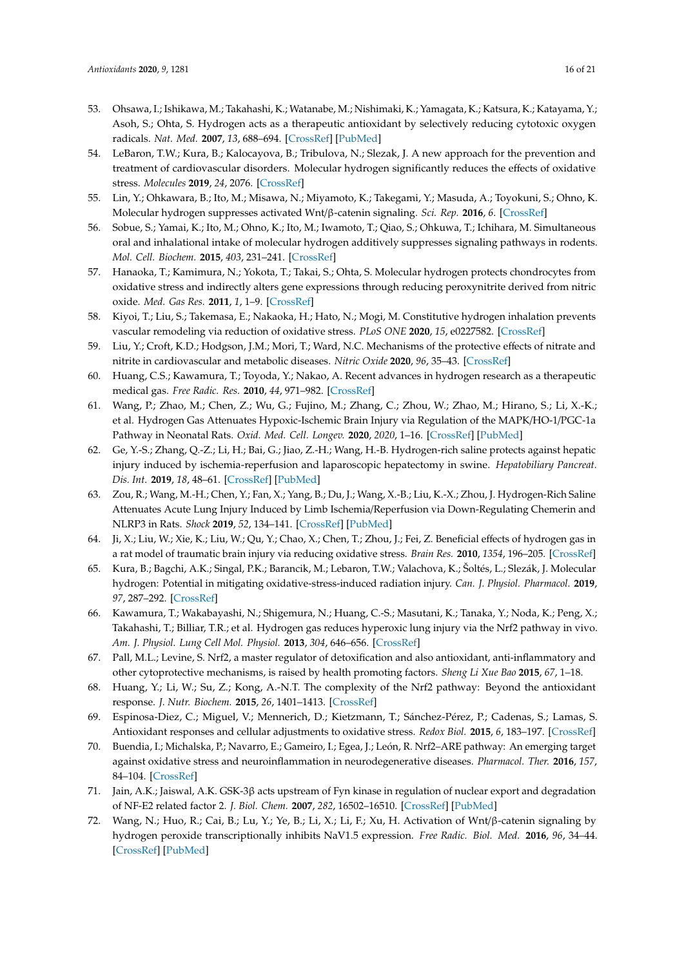- <span id="page-15-0"></span>53. Ohsawa, I.; Ishikawa, M.; Takahashi, K.; Watanabe, M.; Nishimaki, K.; Yamagata, K.; Katsura, K.; Katayama, Y.; Asoh, S.; Ohta, S. Hydrogen acts as a therapeutic antioxidant by selectively reducing cytotoxic oxygen radicals. *Nat. Med.* **2007**, *13*, 688–694. [\[CrossRef\]](http://dx.doi.org/10.1038/nm1577) [\[PubMed\]](http://www.ncbi.nlm.nih.gov/pubmed/17486089)
- <span id="page-15-1"></span>54. LeBaron, T.W.; Kura, B.; Kalocayova, B.; Tribulova, N.; Slezak, J. A new approach for the prevention and treatment of cardiovascular disorders. Molecular hydrogen significantly reduces the effects of oxidative stress. *Molecules* **2019**, *24*, 2076. [\[CrossRef\]](http://dx.doi.org/10.3390/molecules24112076)
- <span id="page-15-19"></span>55. Lin, Y.; Ohkawara, B.; Ito, M.; Misawa, N.; Miyamoto, K.; Takegami, Y.; Masuda, A.; Toyokuni, S.; Ohno, K. Molecular hydrogen suppresses activated Wnt/β-catenin signaling. *Sci. Rep.* **2016**, *6*. [\[CrossRef\]](http://dx.doi.org/10.1038/srep31986)
- <span id="page-15-2"></span>56. Sobue, S.; Yamai, K.; Ito, M.; Ohno, K.; Ito, M.; Iwamoto, T.; Qiao, S.; Ohkuwa, T.; Ichihara, M. Simultaneous oral and inhalational intake of molecular hydrogen additively suppresses signaling pathways in rodents. *Mol. Cell. Biochem.* **2015**, *403*, 231–241. [\[CrossRef\]](http://dx.doi.org/10.1007/s11010-015-2353-y)
- <span id="page-15-3"></span>57. Hanaoka, T.; Kamimura, N.; Yokota, T.; Takai, S.; Ohta, S. Molecular hydrogen protects chondrocytes from oxidative stress and indirectly alters gene expressions through reducing peroxynitrite derived from nitric oxide. *Med. Gas Res.* **2011**, *1*, 1–9. [\[CrossRef\]](http://dx.doi.org/10.1186/2045-9912-1-18)
- <span id="page-15-4"></span>58. Kiyoi, T.; Liu, S.; Takemasa, E.; Nakaoka, H.; Hato, N.; Mogi, M. Constitutive hydrogen inhalation prevents vascular remodeling via reduction of oxidative stress. *PLoS ONE* **2020**, *15*, e0227582. [\[CrossRef\]](http://dx.doi.org/10.1371/journal.pone.0227582)
- <span id="page-15-5"></span>59. Liu, Y.; Croft, K.D.; Hodgson, J.M.; Mori, T.; Ward, N.C. Mechanisms of the protective effects of nitrate and nitrite in cardiovascular and metabolic diseases. *Nitric Oxide* **2020**, *96*, 35–43. [\[CrossRef\]](http://dx.doi.org/10.1016/j.niox.2020.01.006)
- <span id="page-15-6"></span>60. Huang, C.S.; Kawamura, T.; Toyoda, Y.; Nakao, A. Recent advances in hydrogen research as a therapeutic medical gas. *Free Radic. Res.* **2010**, *44*, 971–982. [\[CrossRef\]](http://dx.doi.org/10.3109/10715762.2010.500328)
- <span id="page-15-7"></span>61. Wang, P.; Zhao, M.; Chen, Z.; Wu, G.; Fujino, M.; Zhang, C.; Zhou, W.; Zhao, M.; Hirano, S.; Li, X.-K.; et al. Hydrogen Gas Attenuates Hypoxic-Ischemic Brain Injury via Regulation of the MAPK/HO-1/PGC-1a Pathway in Neonatal Rats. *Oxid. Med. Cell. Longev.* **2020**, *2020*, 1–16. [\[CrossRef\]](http://dx.doi.org/10.1155/2020/6978784) [\[PubMed\]](http://www.ncbi.nlm.nih.gov/pubmed/32104537)
- <span id="page-15-8"></span>62. Ge, Y.-S.; Zhang, Q.-Z.; Li, H.; Bai, G.; Jiao, Z.-H.; Wang, H.-B. Hydrogen-rich saline protects against hepatic injury induced by ischemia-reperfusion and laparoscopic hepatectomy in swine. *Hepatobiliary Pancreat. Dis. Int.* **2019**, *18*, 48–61. [\[CrossRef\]](http://dx.doi.org/10.1016/j.hbpd.2018.12.001) [\[PubMed\]](http://www.ncbi.nlm.nih.gov/pubmed/30573299)
- <span id="page-15-9"></span>63. Zou, R.; Wang, M.-H.; Chen, Y.; Fan, X.; Yang, B.; Du, J.; Wang, X.-B.; Liu, K.-X.; Zhou, J. Hydrogen-Rich Saline Attenuates Acute Lung Injury Induced by Limb Ischemia/Reperfusion via Down-Regulating Chemerin and NLRP3 in Rats. *Shock* **2019**, *52*, 134–141. [\[CrossRef\]](http://dx.doi.org/10.1097/SHK.0000000000001194) [\[PubMed\]](http://www.ncbi.nlm.nih.gov/pubmed/29847499)
- <span id="page-15-10"></span>64. Ji, X.; Liu, W.; Xie, K.; Liu, W.; Qu, Y.; Chao, X.; Chen, T.; Zhou, J.; Fei, Z. Beneficial effects of hydrogen gas in a rat model of traumatic brain injury via reducing oxidative stress. *Brain Res.* **2010**, *1354*, 196–205. [\[CrossRef\]](http://dx.doi.org/10.1016/j.brainres.2010.07.038)
- <span id="page-15-11"></span>65. Kura, B.; Bagchi, A.K.; Singal, P.K.; Barancik, M.; Lebaron, T.W.; Valachova, K.; Šoltés, L.; Slezák, J. Molecular hydrogen: Potential in mitigating oxidative-stress-induced radiation injury. *Can. J. Physiol. Pharmacol.* **2019**, *97*, 287–292. [\[CrossRef\]](http://dx.doi.org/10.1139/cjpp-2018-0604)
- <span id="page-15-12"></span>66. Kawamura, T.; Wakabayashi, N.; Shigemura, N.; Huang, C.-S.; Masutani, K.; Tanaka, Y.; Noda, K.; Peng, X.; Takahashi, T.; Billiar, T.R.; et al. Hydrogen gas reduces hyperoxic lung injury via the Nrf2 pathway in vivo. *Am. J. Physiol. Lung Cell Mol. Physiol.* **2013**, *304*, 646–656. [\[CrossRef\]](http://dx.doi.org/10.1152/ajplung.00164.2012)
- <span id="page-15-13"></span>67. Pall, M.L.; Levine, S. Nrf2, a master regulator of detoxification and also antioxidant, anti-inflammatory and other cytoprotective mechanisms, is raised by health promoting factors. *Sheng Li Xue Bao* **2015**, *67*, 1–18.
- <span id="page-15-14"></span>68. Huang, Y.; Li, W.; Su, Z.; Kong, A.-N.T. The complexity of the Nrf2 pathway: Beyond the antioxidant response. *J. Nutr. Biochem.* **2015**, *26*, 1401–1413. [\[CrossRef\]](http://dx.doi.org/10.1016/j.jnutbio.2015.08.001)
- <span id="page-15-15"></span>69. Espinosa-Diez, C.; Miguel, V.; Mennerich, D.; Kietzmann, T.; Sánchez-Pérez, P.; Cadenas, S.; Lamas, S. Antioxidant responses and cellular adjustments to oxidative stress. *Redox Biol.* **2015**, *6*, 183–197. [\[CrossRef\]](http://dx.doi.org/10.1016/j.redox.2015.07.008)
- <span id="page-15-16"></span>70. Buendia, I.; Michalska, P.; Navarro, E.; Gameiro, I.; Egea, J.; León, R. Nrf2–ARE pathway: An emerging target against oxidative stress and neuroinflammation in neurodegenerative diseases. *Pharmacol. Ther.* **2016**, *157*, 84–104. [\[CrossRef\]](http://dx.doi.org/10.1016/j.pharmthera.2015.11.003)
- <span id="page-15-17"></span>71. Jain, A.K.; Jaiswal, A.K. GSK-3β acts upstream of Fyn kinase in regulation of nuclear export and degradation of NF-E2 related factor 2. *J. Biol. Chem.* **2007**, *282*, 16502–16510. [\[CrossRef\]](http://dx.doi.org/10.1074/jbc.M611336200) [\[PubMed\]](http://www.ncbi.nlm.nih.gov/pubmed/17403689)
- <span id="page-15-18"></span>72. Wang, N.; Huo, R.; Cai, B.; Lu, Y.; Ye, B.; Li, X.; Li, F.; Xu, H. Activation of Wnt/β-catenin signaling by hydrogen peroxide transcriptionally inhibits NaV1.5 expression. *Free Radic. Biol. Med.* **2016**, *96*, 34–44. [\[CrossRef\]](http://dx.doi.org/10.1016/j.freeradbiomed.2016.04.003) [\[PubMed\]](http://www.ncbi.nlm.nih.gov/pubmed/27068063)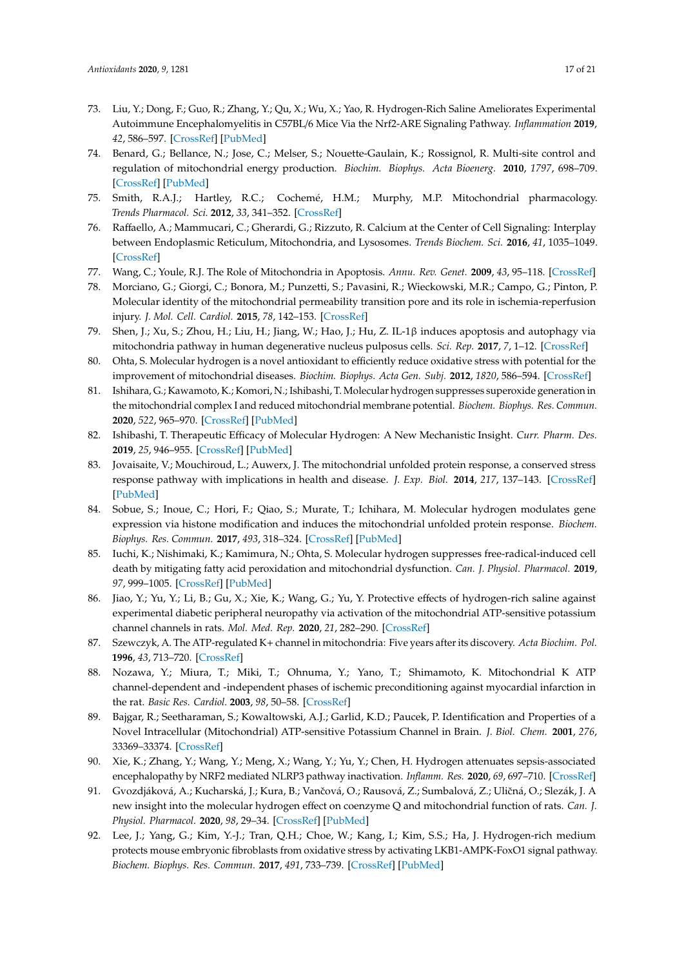- <span id="page-16-0"></span>73. Liu, Y.; Dong, F.; Guo, R.; Zhang, Y.; Qu, X.; Wu, X.; Yao, R. Hydrogen-Rich Saline Ameliorates Experimental Autoimmune Encephalomyelitis in C57BL/6 Mice Via the Nrf2-ARE Signaling Pathway. *Inflammation* **2019**, *42*, 586–597. [\[CrossRef\]](http://dx.doi.org/10.1007/s10753-018-0915-3) [\[PubMed\]](http://www.ncbi.nlm.nih.gov/pubmed/30343391)
- <span id="page-16-1"></span>74. Benard, G.; Bellance, N.; Jose, C.; Melser, S.; Nouette-Gaulain, K.; Rossignol, R. Multi-site control and regulation of mitochondrial energy production. *Biochim. Biophys. Acta Bioenerg.* **2010**, *1797*, 698–709. [\[CrossRef\]](http://dx.doi.org/10.1016/j.bbabio.2010.02.030) [\[PubMed\]](http://www.ncbi.nlm.nih.gov/pubmed/20226160)
- 75. Smith, R.A.J.; Hartley, R.C.; Cochemé, H.M.; Murphy, M.P. Mitochondrial pharmacology. *Trends Pharmacol. Sci.* **2012**, *33*, 341–352. [\[CrossRef\]](http://dx.doi.org/10.1016/j.tips.2012.03.010)
- <span id="page-16-2"></span>76. Raffaello, A.; Mammucari, C.; Gherardi, G.; Rizzuto, R. Calcium at the Center of Cell Signaling: Interplay between Endoplasmic Reticulum, Mitochondria, and Lysosomes. *Trends Biochem. Sci.* **2016**, *41*, 1035–1049. [\[CrossRef\]](http://dx.doi.org/10.1016/j.tibs.2016.09.001)
- <span id="page-16-3"></span>77. Wang, C.; Youle, R.J. The Role of Mitochondria in Apoptosis. *Annu. Rev. Genet.* **2009**, *43*, 95–118. [\[CrossRef\]](http://dx.doi.org/10.1146/annurev-genet-102108-134850)
- <span id="page-16-4"></span>78. Morciano, G.; Giorgi, C.; Bonora, M.; Punzetti, S.; Pavasini, R.; Wieckowski, M.R.; Campo, G.; Pinton, P. Molecular identity of the mitochondrial permeability transition pore and its role in ischemia-reperfusion injury. *J. Mol. Cell. Cardiol.* **2015**, *78*, 142–153. [\[CrossRef\]](http://dx.doi.org/10.1016/j.yjmcc.2014.08.015)
- <span id="page-16-5"></span>79. Shen, J.; Xu, S.; Zhou, H.; Liu, H.; Jiang, W.; Hao, J.; Hu, Z. IL-1β induces apoptosis and autophagy via mitochondria pathway in human degenerative nucleus pulposus cells. *Sci. Rep.* **2017**, *7*, 1–12. [\[CrossRef\]](http://dx.doi.org/10.1038/srep41067)
- <span id="page-16-6"></span>80. Ohta, S. Molecular hydrogen is a novel antioxidant to efficiently reduce oxidative stress with potential for the improvement of mitochondrial diseases. *Biochim. Biophys. Acta Gen. Subj.* **2012**, *1820*, 586–594. [\[CrossRef\]](http://dx.doi.org/10.1016/j.bbagen.2011.05.006)
- <span id="page-16-7"></span>81. Ishihara, G.; Kawamoto, K.; Komori, N.; Ishibashi, T. Molecular hydrogen suppresses superoxide generation in the mitochondrial complex I and reduced mitochondrial membrane potential. *Biochem. Biophys. Res. Commun.* **2020**, *522*, 965–970. [\[CrossRef\]](http://dx.doi.org/10.1016/j.bbrc.2019.11.135) [\[PubMed\]](http://www.ncbi.nlm.nih.gov/pubmed/31810604)
- <span id="page-16-8"></span>82. Ishibashi, T. Therapeutic Efficacy of Molecular Hydrogen: A New Mechanistic Insight. *Curr. Pharm. Des.* **2019**, *25*, 946–955. [\[CrossRef\]](http://dx.doi.org/10.2174/1381612825666190506123038) [\[PubMed\]](http://www.ncbi.nlm.nih.gov/pubmed/31057105)
- <span id="page-16-9"></span>83. Jovaisaite, V.; Mouchiroud, L.; Auwerx, J. The mitochondrial unfolded protein response, a conserved stress response pathway with implications in health and disease. *J. Exp. Biol.* **2014**, *217*, 137–143. [\[CrossRef\]](http://dx.doi.org/10.1242/jeb.090738) [\[PubMed\]](http://www.ncbi.nlm.nih.gov/pubmed/24353213)
- <span id="page-16-10"></span>84. Sobue, S.; Inoue, C.; Hori, F.; Qiao, S.; Murate, T.; Ichihara, M. Molecular hydrogen modulates gene expression via histone modification and induces the mitochondrial unfolded protein response. *Biochem. Biophys. Res. Commun.* **2017**, *493*, 318–324. [\[CrossRef\]](http://dx.doi.org/10.1016/j.bbrc.2017.09.024) [\[PubMed\]](http://www.ncbi.nlm.nih.gov/pubmed/28890349)
- <span id="page-16-11"></span>85. Iuchi, K.; Nishimaki, K.; Kamimura, N.; Ohta, S. Molecular hydrogen suppresses free-radical-induced cell death by mitigating fatty acid peroxidation and mitochondrial dysfunction. *Can. J. Physiol. Pharmacol.* **2019**, *97*, 999–1005. [\[CrossRef\]](http://dx.doi.org/10.1139/cjpp-2018-0741) [\[PubMed\]](http://www.ncbi.nlm.nih.gov/pubmed/31295412)
- <span id="page-16-12"></span>86. Jiao, Y.; Yu, Y.; Li, B.; Gu, X.; Xie, K.; Wang, G.; Yu, Y. Protective effects of hydrogen-rich saline against experimental diabetic peripheral neuropathy via activation of the mitochondrial ATP-sensitive potassium channel channels in rats. *Mol. Med. Rep.* **2020**, *21*, 282–290. [\[CrossRef\]](http://dx.doi.org/10.3892/mmr.2019.10795)
- <span id="page-16-13"></span>87. Szewczyk, A. The ATP-regulated K+ channel in mitochondria: Five years after its discovery. *Acta Biochim. Pol.* **1996**, *43*, 713–720. [\[CrossRef\]](http://dx.doi.org/10.18388/abp.1996_4469)
- <span id="page-16-14"></span>88. Nozawa, Y.; Miura, T.; Miki, T.; Ohnuma, Y.; Yano, T.; Shimamoto, K. Mitochondrial K ATP channel-dependent and -independent phases of ischemic preconditioning against myocardial infarction in the rat. *Basic Res. Cardiol.* **2003**, *98*, 50–58. [\[CrossRef\]](http://dx.doi.org/10.1007/s00395-003-0378-y)
- <span id="page-16-15"></span>89. Bajgar, R.; Seetharaman, S.; Kowaltowski, A.J.; Garlid, K.D.; Paucek, P. Identification and Properties of a Novel Intracellular (Mitochondrial) ATP-sensitive Potassium Channel in Brain. *J. Biol. Chem.* **2001**, *276*, 33369–33374. [\[CrossRef\]](http://dx.doi.org/10.1074/jbc.M103320200)
- <span id="page-16-16"></span>90. Xie, K.; Zhang, Y.; Wang, Y.; Meng, X.; Wang, Y.; Yu, Y.; Chen, H. Hydrogen attenuates sepsis-associated encephalopathy by NRF2 mediated NLRP3 pathway inactivation. *Inflamm. Res.* **2020**, *69*, 697–710. [\[CrossRef\]](http://dx.doi.org/10.1007/s00011-020-01347-9)
- <span id="page-16-17"></span>91. Gvozdjáková, A.; Kucharská, J.; Kura, B.; Vančová, O.; Rausová, Z.; Sumbalová, Z.; Uličná, O.; Slezák, J. A new insight into the molecular hydrogen effect on coenzyme Q and mitochondrial function of rats. *Can. J. Physiol. Pharmacol.* **2020**, *98*, 29–34. [\[CrossRef\]](http://dx.doi.org/10.1139/cjpp-2019-0281) [\[PubMed\]](http://www.ncbi.nlm.nih.gov/pubmed/31536712)
- <span id="page-16-18"></span>92. Lee, J.; Yang, G.; Kim, Y.-J.; Tran, Q.H.; Choe, W.; Kang, I.; Kim, S.S.; Ha, J. Hydrogen-rich medium protects mouse embryonic fibroblasts from oxidative stress by activating LKB1-AMPK-FoxO1 signal pathway. *Biochem. Biophys. Res. Commun.* **2017**, *491*, 733–739. [\[CrossRef\]](http://dx.doi.org/10.1016/j.bbrc.2017.07.119) [\[PubMed\]](http://www.ncbi.nlm.nih.gov/pubmed/28743498)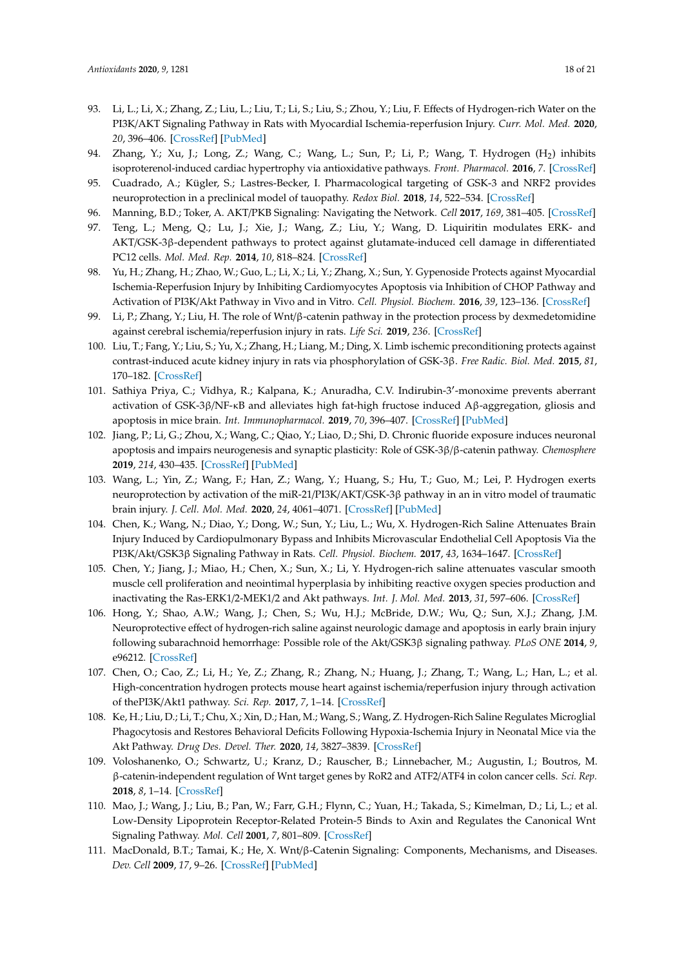- <span id="page-17-17"></span>93. Li, L.; Li, X.; Zhang, Z.; Liu, L.; Liu, T.; Li, S.; Liu, S.; Zhou, Y.; Liu, F. Effects of Hydrogen-rich Water on the PI3K/AKT Signaling Pathway in Rats with Myocardial Ischemia-reperfusion Injury. *Curr. Mol. Med.* **2020**, *20*, 396–406. [\[CrossRef\]](http://dx.doi.org/10.2174/1566524019666191105150709) [\[PubMed\]](http://www.ncbi.nlm.nih.gov/pubmed/31702499)
- <span id="page-17-0"></span>94. Zhang, Y.; Xu, J.; Long, Z.; Wang, C.; Wang, L.; Sun, P.; Li, P.; Wang, T. Hydrogen (H<sup>2</sup> ) inhibits isoproterenol-induced cardiac hypertrophy via antioxidative pathways. *Front. Pharmacol.* **2016**, *7*. [\[CrossRef\]](http://dx.doi.org/10.3389/fphar.2016.00392)
- <span id="page-17-1"></span>95. Cuadrado, A.; Kügler, S.; Lastres-Becker, I. Pharmacological targeting of GSK-3 and NRF2 provides neuroprotection in a preclinical model of tauopathy. *Redox Biol.* **2018**, *14*, 522–534. [\[CrossRef\]](http://dx.doi.org/10.1016/j.redox.2017.10.010)
- <span id="page-17-2"></span>96. Manning, B.D.; Toker, A. AKT/PKB Signaling: Navigating the Network. *Cell* **2017**, *169*, 381–405. [\[CrossRef\]](http://dx.doi.org/10.1016/j.cell.2017.04.001)
- <span id="page-17-3"></span>97. Teng, L.; Meng, Q.; Lu, J.; Xie, J.; Wang, Z.; Liu, Y.; Wang, D. Liquiritin modulates ERK- and AKT/GSK-3β-dependent pathways to protect against glutamate-induced cell damage in differentiated PC12 cells. *Mol. Med. Rep.* **2014**, *10*, 818–824. [\[CrossRef\]](http://dx.doi.org/10.3892/mmr.2014.2289)
- <span id="page-17-4"></span>98. Yu, H.; Zhang, H.; Zhao, W.; Guo, L.; Li, X.; Li, Y.; Zhang, X.; Sun, Y. Gypenoside Protects against Myocardial Ischemia-Reperfusion Injury by Inhibiting Cardiomyocytes Apoptosis via Inhibition of CHOP Pathway and Activation of PI3K/Akt Pathway in Vivo and in Vitro. *Cell. Physiol. Biochem.* **2016**, *39*, 123–136. [\[CrossRef\]](http://dx.doi.org/10.1159/000445611)
- <span id="page-17-5"></span>99. Li, P.; Zhang, Y.; Liu, H. The role of Wnt/β-catenin pathway in the protection process by dexmedetomidine against cerebral ischemia/reperfusion injury in rats. *Life Sci.* **2019**, *236*. [\[CrossRef\]](http://dx.doi.org/10.1016/j.lfs.2019.116921)
- <span id="page-17-6"></span>100. Liu, T.; Fang, Y.; Liu, S.; Yu, X.; Zhang, H.; Liang, M.; Ding, X. Limb ischemic preconditioning protects against contrast-induced acute kidney injury in rats via phosphorylation of GSK-3β. *Free Radic. Biol. Med.* **2015**, *81*, 170–182. [\[CrossRef\]](http://dx.doi.org/10.1016/j.freeradbiomed.2014.10.509)
- <span id="page-17-7"></span>101. Sathiya Priya, C.; Vidhya, R.; Kalpana, K.; Anuradha, C.V. Indirubin-3'-monoxime prevents aberrant activation of GSK-3β/NF-κB and alleviates high fat-high fructose induced Aβ-aggregation, gliosis and apoptosis in mice brain. *Int. Immunopharmacol.* **2019**, *70*, 396–407. [\[CrossRef\]](http://dx.doi.org/10.1016/j.intimp.2019.02.053) [\[PubMed\]](http://www.ncbi.nlm.nih.gov/pubmed/30856390)
- 102. Jiang, P.; Li, G.; Zhou, X.; Wang, C.; Qiao, Y.; Liao, D.; Shi, D. Chronic fluoride exposure induces neuronal apoptosis and impairs neurogenesis and synaptic plasticity: Role of GSK-3β/β-catenin pathway. *Chemosphere* **2019**, *214*, 430–435. [\[CrossRef\]](http://dx.doi.org/10.1016/j.chemosphere.2018.09.095) [\[PubMed\]](http://www.ncbi.nlm.nih.gov/pubmed/30273876)
- <span id="page-17-8"></span>103. Wang, L.; Yin, Z.; Wang, F.; Han, Z.; Wang, Y.; Huang, S.; Hu, T.; Guo, M.; Lei, P. Hydrogen exerts neuroprotection by activation of the miR-21/PI3K/AKT/GSK-3β pathway in an in vitro model of traumatic brain injury. *J. Cell. Mol. Med.* **2020**, *24*, 4061–4071. [\[CrossRef\]](http://dx.doi.org/10.1111/jcmm.15051) [\[PubMed\]](http://www.ncbi.nlm.nih.gov/pubmed/32108985)
- <span id="page-17-9"></span>104. Chen, K.; Wang, N.; Diao, Y.; Dong, W.; Sun, Y.; Liu, L.; Wu, X. Hydrogen-Rich Saline Attenuates Brain Injury Induced by Cardiopulmonary Bypass and Inhibits Microvascular Endothelial Cell Apoptosis Via the PI3K/Akt/GSK3β Signaling Pathway in Rats. *Cell. Physiol. Biochem.* **2017**, *43*, 1634–1647. [\[CrossRef\]](http://dx.doi.org/10.1159/000484024)
- <span id="page-17-10"></span>105. Chen, Y.; Jiang, J.; Miao, H.; Chen, X.; Sun, X.; Li, Y. Hydrogen-rich saline attenuates vascular smooth muscle cell proliferation and neointimal hyperplasia by inhibiting reactive oxygen species production and inactivating the Ras-ERK1/2-MEK1/2 and Akt pathways. *Int. J. Mol. Med.* **2013**, *31*, 597–606. [\[CrossRef\]](http://dx.doi.org/10.3892/ijmm.2013.1256)
- <span id="page-17-11"></span>106. Hong, Y.; Shao, A.W.; Wang, J.; Chen, S.; Wu, H.J.; McBride, D.W.; Wu, Q.; Sun, X.J.; Zhang, J.M. Neuroprotective effect of hydrogen-rich saline against neurologic damage and apoptosis in early brain injury following subarachnoid hemorrhage: Possible role of the Akt/GSK3β signaling pathway. *PLoS ONE* **2014**, *9*, e96212. [\[CrossRef\]](http://dx.doi.org/10.1371/journal.pone.0096212)
- <span id="page-17-12"></span>107. Chen, O.; Cao, Z.; Li, H.; Ye, Z.; Zhang, R.; Zhang, N.; Huang, J.; Zhang, T.; Wang, L.; Han, L.; et al. High-concentration hydrogen protects mouse heart against ischemia/reperfusion injury through activation of thePI3K/Akt1 pathway. *Sci. Rep.* **2017**, *7*, 1–14. [\[CrossRef\]](http://dx.doi.org/10.1038/s41598-017-14072-x)
- <span id="page-17-13"></span>108. Ke, H.; Liu, D.; Li, T.; Chu, X.; Xin, D.; Han, M.; Wang, S.; Wang, Z. Hydrogen-Rich Saline Regulates Microglial Phagocytosis and Restores Behavioral Deficits Following Hypoxia-Ischemia Injury in Neonatal Mice via the Akt Pathway. *Drug Des. Devel. Ther.* **2020**, *14*, 3827–3839. [\[CrossRef\]](http://dx.doi.org/10.2147/DDDT.S264684)
- <span id="page-17-14"></span>109. Voloshanenko, O.; Schwartz, U.; Kranz, D.; Rauscher, B.; Linnebacher, M.; Augustin, I.; Boutros, M. β-catenin-independent regulation of Wnt target genes by RoR2 and ATF2/ATF4 in colon cancer cells. *Sci. Rep.* **2018**, *8*, 1–14. [\[CrossRef\]](http://dx.doi.org/10.1038/s41598-018-20641-5)
- <span id="page-17-15"></span>110. Mao, J.; Wang, J.; Liu, B.; Pan, W.; Farr, G.H.; Flynn, C.; Yuan, H.; Takada, S.; Kimelman, D.; Li, L.; et al. Low-Density Lipoprotein Receptor-Related Protein-5 Binds to Axin and Regulates the Canonical Wnt Signaling Pathway. *Mol. Cell* **2001**, *7*, 801–809. [\[CrossRef\]](http://dx.doi.org/10.1016/S1097-2765(01)00224-6)
- <span id="page-17-16"></span>111. MacDonald, B.T.; Tamai, K.; He, X. Wnt/β-Catenin Signaling: Components, Mechanisms, and Diseases. *Dev. Cell* **2009**, *17*, 9–26. [\[CrossRef\]](http://dx.doi.org/10.1016/j.devcel.2009.06.016) [\[PubMed\]](http://www.ncbi.nlm.nih.gov/pubmed/19619488)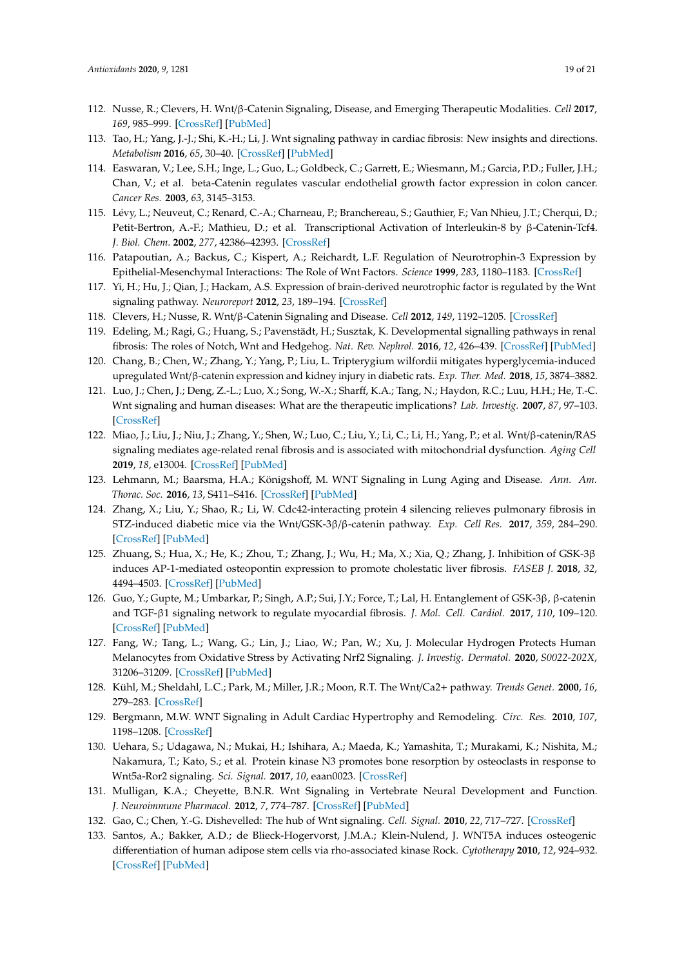- <span id="page-18-5"></span>112. Nusse, R.; Clevers, H. Wnt/β-Catenin Signaling, Disease, and Emerging Therapeutic Modalities. *Cell* **2017**, *169*, 985–999. [\[CrossRef\]](http://dx.doi.org/10.1016/j.cell.2017.05.016) [\[PubMed\]](http://www.ncbi.nlm.nih.gov/pubmed/28575679)
- <span id="page-18-0"></span>113. Tao, H.; Yang, J.-J.; Shi, K.-H.; Li, J. Wnt signaling pathway in cardiac fibrosis: New insights and directions. *Metabolism* **2016**, *65*, 30–40. [\[CrossRef\]](http://dx.doi.org/10.1016/j.metabol.2015.10.013) [\[PubMed\]](http://www.ncbi.nlm.nih.gov/pubmed/26773927)
- <span id="page-18-1"></span>114. Easwaran, V.; Lee, S.H.; Inge, L.; Guo, L.; Goldbeck, C.; Garrett, E.; Wiesmann, M.; Garcia, P.D.; Fuller, J.H.; Chan, V.; et al. beta-Catenin regulates vascular endothelial growth factor expression in colon cancer. *Cancer Res.* **2003**, *63*, 3145–3153.
- <span id="page-18-2"></span>115. Lévy, L.; Neuveut, C.; Renard, C.-A.; Charneau, P.; Branchereau, S.; Gauthier, F.; Van Nhieu, J.T.; Cherqui, D.; Petit-Bertron, A.-F.; Mathieu, D.; et al. Transcriptional Activation of Interleukin-8 by β-Catenin-Tcf4. *J. Biol. Chem.* **2002**, *277*, 42386–42393. [\[CrossRef\]](http://dx.doi.org/10.1074/jbc.M207418200)
- <span id="page-18-3"></span>116. Patapoutian, A.; Backus, C.; Kispert, A.; Reichardt, L.F. Regulation of Neurotrophin-3 Expression by Epithelial-Mesenchymal Interactions: The Role of Wnt Factors. *Science* **1999**, *283*, 1180–1183. [\[CrossRef\]](http://dx.doi.org/10.1126/science.283.5405.1180)
- <span id="page-18-4"></span>117. Yi, H.; Hu, J.; Qian, J.; Hackam, A.S. Expression of brain-derived neurotrophic factor is regulated by the Wnt signaling pathway. *Neuroreport* **2012**, *23*, 189–194. [\[CrossRef\]](http://dx.doi.org/10.1097/WNR.0b013e32834fab06)
- <span id="page-18-6"></span>118. Clevers, H.; Nusse, R. Wnt/β-Catenin Signaling and Disease. *Cell* **2012**, *149*, 1192–1205. [\[CrossRef\]](http://dx.doi.org/10.1016/j.cell.2012.05.012)
- <span id="page-18-7"></span>119. Edeling, M.; Ragi, G.; Huang, S.; Pavenstädt, H.; Susztak, K. Developmental signalling pathways in renal fibrosis: The roles of Notch, Wnt and Hedgehog. *Nat. Rev. Nephrol.* **2016**, *12*, 426–439. [\[CrossRef\]](http://dx.doi.org/10.1038/nrneph.2016.54) [\[PubMed\]](http://www.ncbi.nlm.nih.gov/pubmed/27140856)
- <span id="page-18-8"></span>120. Chang, B.; Chen, W.; Zhang, Y.; Yang, P.; Liu, L. Tripterygium wilfordii mitigates hyperglycemia-induced upregulated Wnt/β-catenin expression and kidney injury in diabetic rats. *Exp. Ther. Med.* **2018**, *15*, 3874–3882.
- <span id="page-18-9"></span>121. Luo, J.; Chen, J.; Deng, Z.-L.; Luo, X.; Song, W.-X.; Sharff, K.A.; Tang, N.; Haydon, R.C.; Luu, H.H.; He, T.-C. Wnt signaling and human diseases: What are the therapeutic implications? *Lab. Investig.* **2007**, *87*, 97–103. [\[CrossRef\]](http://dx.doi.org/10.1038/labinvest.3700509)
- <span id="page-18-10"></span>122. Miao, J.; Liu, J.; Niu, J.; Zhang, Y.; Shen, W.; Luo, C.; Liu, Y.; Li, C.; Li, H.; Yang, P.; et al. Wnt/β-catenin/RAS signaling mediates age-related renal fibrosis and is associated with mitochondrial dysfunction. *Aging Cell* **2019**, *18*, e13004. [\[CrossRef\]](http://dx.doi.org/10.1111/acel.13004) [\[PubMed\]](http://www.ncbi.nlm.nih.gov/pubmed/31318148)
- <span id="page-18-11"></span>123. Lehmann, M.; Baarsma, H.A.; Königshoff, M. WNT Signaling in Lung Aging and Disease. *Ann. Am. Thorac. Soc.* **2016**, *13*, S411–S416. [\[CrossRef\]](http://dx.doi.org/10.1513/AnnalsATS.201608-586AW) [\[PubMed\]](http://www.ncbi.nlm.nih.gov/pubmed/28005418)
- <span id="page-18-12"></span>124. Zhang, X.; Liu, Y.; Shao, R.; Li, W. Cdc42-interacting protein 4 silencing relieves pulmonary fibrosis in STZ-induced diabetic mice via the Wnt/GSK-3β/β-catenin pathway. *Exp. Cell Res.* **2017**, *359*, 284–290. [\[CrossRef\]](http://dx.doi.org/10.1016/j.yexcr.2017.07.018) [\[PubMed\]](http://www.ncbi.nlm.nih.gov/pubmed/28720386)
- <span id="page-18-13"></span>125. Zhuang, S.; Hua, X.; He, K.; Zhou, T.; Zhang, J.; Wu, H.; Ma, X.; Xia, Q.; Zhang, J. Inhibition of GSK-3β induces AP-1-mediated osteopontin expression to promote cholestatic liver fibrosis. *FASEB J.* **2018**, *32*, 4494–4503. [\[CrossRef\]](http://dx.doi.org/10.1096/fj.201701137R) [\[PubMed\]](http://www.ncbi.nlm.nih.gov/pubmed/29529390)
- <span id="page-18-14"></span>126. Guo, Y.; Gupte, M.; Umbarkar, P.; Singh, A.P.; Sui, J.Y.; Force, T.; Lal, H. Entanglement of GSK-3β, β-catenin and TGF-β1 signaling network to regulate myocardial fibrosis. *J. Mol. Cell. Cardiol.* **2017**, *110*, 109–120. [\[CrossRef\]](http://dx.doi.org/10.1016/j.yjmcc.2017.07.011) [\[PubMed\]](http://www.ncbi.nlm.nih.gov/pubmed/28756206)
- <span id="page-18-15"></span>127. Fang, W.; Tang, L.; Wang, G.; Lin, J.; Liao, W.; Pan, W.; Xu, J. Molecular Hydrogen Protects Human Melanocytes from Oxidative Stress by Activating Nrf2 Signaling. *J. Investig. Dermatol.* **2020**, *S0022-202X*, 31206–31209. [\[CrossRef\]](http://dx.doi.org/10.1016/j.jid.2019.03.1165) [\[PubMed\]](http://www.ncbi.nlm.nih.gov/pubmed/32234461)
- <span id="page-18-16"></span>128. Kühl, M.; Sheldahl, L.C.; Park, M.; Miller, J.R.; Moon, R.T. The Wnt/Ca2+ pathway. *Trends Genet.* **2000**, *16*, 279–283. [\[CrossRef\]](http://dx.doi.org/10.1016/S0168-9525(00)02028-X)
- 129. Bergmann, M.W. WNT Signaling in Adult Cardiac Hypertrophy and Remodeling. *Circ. Res.* **2010**, *107*, 1198–1208. [\[CrossRef\]](http://dx.doi.org/10.1161/CIRCRESAHA.110.223768)
- <span id="page-18-17"></span>130. Uehara, S.; Udagawa, N.; Mukai, H.; Ishihara, A.; Maeda, K.; Yamashita, T.; Murakami, K.; Nishita, M.; Nakamura, T.; Kato, S.; et al. Protein kinase N3 promotes bone resorption by osteoclasts in response to Wnt5a-Ror2 signaling. *Sci. Signal.* **2017**, *10*, eaan0023. [\[CrossRef\]](http://dx.doi.org/10.1126/scisignal.aan0023)
- <span id="page-18-18"></span>131. Mulligan, K.A.; Cheyette, B.N.R. Wnt Signaling in Vertebrate Neural Development and Function. *J. Neuroimmune Pharmacol.* **2012**, *7*, 774–787. [\[CrossRef\]](http://dx.doi.org/10.1007/s11481-012-9404-x) [\[PubMed\]](http://www.ncbi.nlm.nih.gov/pubmed/23015196)
- <span id="page-18-19"></span>132. Gao, C.; Chen, Y.-G. Dishevelled: The hub of Wnt signaling. *Cell. Signal.* **2010**, *22*, 717–727. [\[CrossRef\]](http://dx.doi.org/10.1016/j.cellsig.2009.11.021)
- <span id="page-18-20"></span>133. Santos, A.; Bakker, A.D.; de Blieck-Hogervorst, J.M.A.; Klein-Nulend, J. WNT5A induces osteogenic differentiation of human adipose stem cells via rho-associated kinase Rock. *Cytotherapy* **2010**, *12*, 924–932. [\[CrossRef\]](http://dx.doi.org/10.3109/14653241003774011) [\[PubMed\]](http://www.ncbi.nlm.nih.gov/pubmed/20429785)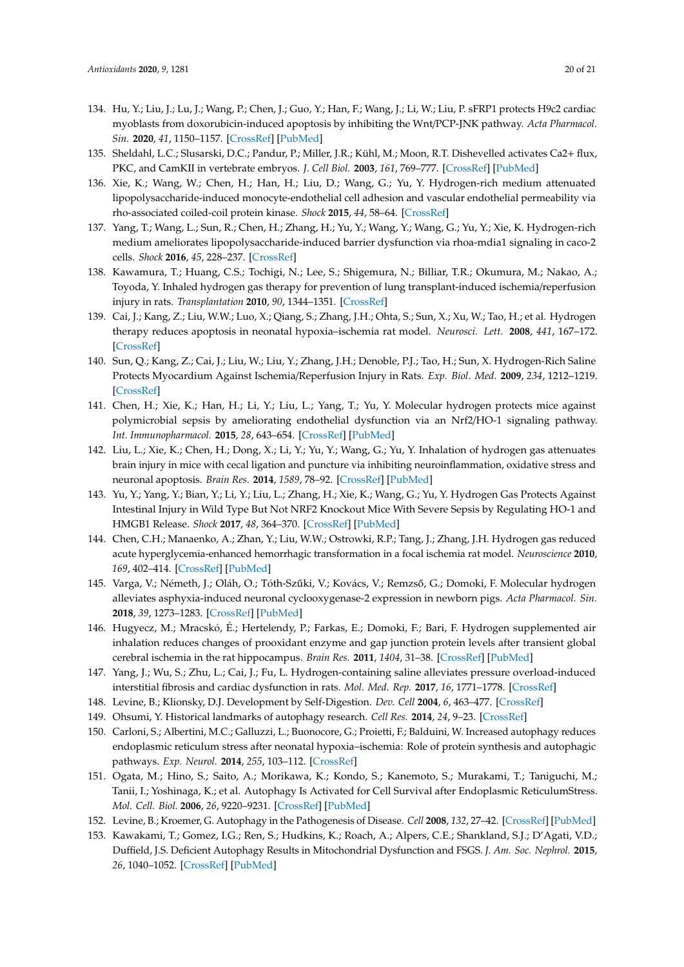- <span id="page-19-0"></span>134. Hu, Y.; Liu, J.; Lu, J.; Wang, P.; Chen, J.; Guo, Y.; Han, F.; Wang, J.; Li, W.; Liu, P. sFRP1 protects H9c2 cardiac myoblasts from doxorubicin-induced apoptosis by inhibiting the Wnt/PCP-JNK pathway. *Acta Pharmacol. Sin.* **2020**, *41*, 1150–1157. [\[CrossRef\]](http://dx.doi.org/10.1038/s41401-020-0364-z) [\[PubMed\]](http://www.ncbi.nlm.nih.gov/pubmed/32238888)
- <span id="page-19-1"></span>135. Sheldahl, L.C.; Slusarski, D.C.; Pandur, P.; Miller, J.R.; Kühl, M.; Moon, R.T. Dishevelled activates Ca2+ flux, PKC, and CamKII in vertebrate embryos. *J. Cell Biol.* **2003**, *161*, 769–777. [\[CrossRef\]](http://dx.doi.org/10.1083/jcb.200211094) [\[PubMed\]](http://www.ncbi.nlm.nih.gov/pubmed/12771126)
- <span id="page-19-2"></span>136. Xie, K.; Wang, W.; Chen, H.; Han, H.; Liu, D.; Wang, G.; Yu, Y. Hydrogen-rich medium attenuated lipopolysaccharide-induced monocyte-endothelial cell adhesion and vascular endothelial permeability via rho-associated coiled-coil protein kinase. *Shock* **2015**, *44*, 58–64. [\[CrossRef\]](http://dx.doi.org/10.1097/SHK.0000000000000365)
- <span id="page-19-3"></span>137. Yang, T.; Wang, L.; Sun, R.; Chen, H.; Zhang, H.; Yu, Y.; Wang, Y.; Wang, G.; Yu, Y.; Xie, K. Hydrogen-rich medium ameliorates lipopolysaccharide-induced barrier dysfunction via rhoa-mdia1 signaling in caco-2 cells. *Shock* **2016**, *45*, 228–237. [\[CrossRef\]](http://dx.doi.org/10.1097/SHK.0000000000000503)
- <span id="page-19-4"></span>138. Kawamura, T.; Huang, C.S.; Tochigi, N.; Lee, S.; Shigemura, N.; Billiar, T.R.; Okumura, M.; Nakao, A.; Toyoda, Y. Inhaled hydrogen gas therapy for prevention of lung transplant-induced ischemia/reperfusion injury in rats. *Transplantation* **2010**, *90*, 1344–1351. [\[CrossRef\]](http://dx.doi.org/10.1097/TP.0b013e3181fe1357)
- <span id="page-19-5"></span>139. Cai, J.; Kang, Z.; Liu, W.W.; Luo, X.; Qiang, S.; Zhang, J.H.; Ohta, S.; Sun, X.; Xu, W.; Tao, H.; et al. Hydrogen therapy reduces apoptosis in neonatal hypoxia–ischemia rat model. *Neurosci. Lett.* **2008**, *441*, 167–172. [\[CrossRef\]](http://dx.doi.org/10.1016/j.neulet.2008.05.077)
- <span id="page-19-6"></span>140. Sun, Q.; Kang, Z.; Cai, J.; Liu, W.; Liu, Y.; Zhang, J.H.; Denoble, P.J.; Tao, H.; Sun, X. Hydrogen-Rich Saline Protects Myocardium Against Ischemia/Reperfusion Injury in Rats. *Exp. Biol. Med.* **2009**, *234*, 1212–1219. [\[CrossRef\]](http://dx.doi.org/10.3181/0812-RM-349)
- <span id="page-19-7"></span>141. Chen, H.; Xie, K.; Han, H.; Li, Y.; Liu, L.; Yang, T.; Yu, Y. Molecular hydrogen protects mice against polymicrobial sepsis by ameliorating endothelial dysfunction via an Nrf2/HO-1 signaling pathway. *Int. Immunopharmacol.* **2015**, *28*, 643–654. [\[CrossRef\]](http://dx.doi.org/10.1016/j.intimp.2015.07.034) [\[PubMed\]](http://www.ncbi.nlm.nih.gov/pubmed/26253656)
- <span id="page-19-8"></span>142. Liu, L.; Xie, K.; Chen, H.; Dong, X.; Li, Y.; Yu, Y.; Wang, G.; Yu, Y. Inhalation of hydrogen gas attenuates brain injury in mice with cecal ligation and puncture via inhibiting neuroinflammation, oxidative stress and neuronal apoptosis. *Brain Res.* **2014**, *1589*, 78–92. [\[CrossRef\]](http://dx.doi.org/10.1016/j.brainres.2014.09.030) [\[PubMed\]](http://www.ncbi.nlm.nih.gov/pubmed/25251596)
- <span id="page-19-9"></span>143. Yu, Y.; Yang, Y.; Bian, Y.; Li, Y.; Liu, L.; Zhang, H.; Xie, K.; Wang, G.; Yu, Y. Hydrogen Gas Protects Against Intestinal Injury in Wild Type But Not NRF2 Knockout Mice With Severe Sepsis by Regulating HO-1 and HMGB1 Release. *Shock* **2017**, *48*, 364–370. [\[CrossRef\]](http://dx.doi.org/10.1097/SHK.0000000000000856) [\[PubMed\]](http://www.ncbi.nlm.nih.gov/pubmed/28234792)
- <span id="page-19-10"></span>144. Chen, C.H.; Manaenko, A.; Zhan, Y.; Liu, W.W.; Ostrowki, R.P.; Tang, J.; Zhang, J.H. Hydrogen gas reduced acute hyperglycemia-enhanced hemorrhagic transformation in a focal ischemia rat model. *Neuroscience* **2010**, *169*, 402–414. [\[CrossRef\]](http://dx.doi.org/10.1016/j.neuroscience.2010.04.043) [\[PubMed\]](http://www.ncbi.nlm.nih.gov/pubmed/20423721)
- <span id="page-19-11"></span>145. Varga, V.; Németh, J.; Oláh, O.; Tóth-Szűki, V.; Kovács, V.; Remzső, G.; Domoki, F. Molecular hydrogen alleviates asphyxia-induced neuronal cyclooxygenase-2 expression in newborn pigs. *Acta Pharmacol. Sin.* **2018**, *39*, 1273–1283. [\[CrossRef\]](http://dx.doi.org/10.1038/aps.2017.148) [\[PubMed\]](http://www.ncbi.nlm.nih.gov/pubmed/29565041)
- <span id="page-19-12"></span>146. Hugyecz, M.; Mracskó, É.; Hertelendy, P.; Farkas, E.; Domoki, F.; Bari, F. Hydrogen supplemented air inhalation reduces changes of prooxidant enzyme and gap junction protein levels after transient global cerebral ischemia in the rat hippocampus. *Brain Res.* **2011**, *1404*, 31–38. [\[CrossRef\]](http://dx.doi.org/10.1016/j.brainres.2011.05.068) [\[PubMed\]](http://www.ncbi.nlm.nih.gov/pubmed/21718970)
- <span id="page-19-13"></span>147. Yang, J.; Wu, S.; Zhu, L.; Cai, J.; Fu, L. Hydrogen-containing saline alleviates pressure overload-induced interstitial fibrosis and cardiac dysfunction in rats. *Mol. Med. Rep.* **2017**, *16*, 1771–1778. [\[CrossRef\]](http://dx.doi.org/10.3892/mmr.2017.6849)
- <span id="page-19-14"></span>148. Levine, B.; Klionsky, D.J. Development by Self-Digestion. *Dev. Cell* **2004**, *6*, 463–477. [\[CrossRef\]](http://dx.doi.org/10.1016/S1534-5807(04)00099-1)
- <span id="page-19-15"></span>149. Ohsumi, Y. Historical landmarks of autophagy research. *Cell Res.* **2014**, *24*, 9–23. [\[CrossRef\]](http://dx.doi.org/10.1038/cr.2013.169)
- <span id="page-19-16"></span>150. Carloni, S.; Albertini, M.C.; Galluzzi, L.; Buonocore, G.; Proietti, F.; Balduini, W. Increased autophagy reduces endoplasmic reticulum stress after neonatal hypoxia–ischemia: Role of protein synthesis and autophagic pathways. *Exp. Neurol.* **2014**, *255*, 103–112. [\[CrossRef\]](http://dx.doi.org/10.1016/j.expneurol.2014.03.002)
- <span id="page-19-17"></span>151. Ogata, M.; Hino, S.; Saito, A.; Morikawa, K.; Kondo, S.; Kanemoto, S.; Murakami, T.; Taniguchi, M.; Tanii, I.; Yoshinaga, K.; et al. Autophagy Is Activated for Cell Survival after Endoplasmic ReticulumStress. *Mol. Cell. Biol.* **2006**, *26*, 9220–9231. [\[CrossRef\]](http://dx.doi.org/10.1128/MCB.01453-06) [\[PubMed\]](http://www.ncbi.nlm.nih.gov/pubmed/17030611)
- <span id="page-19-18"></span>152. Levine, B.; Kroemer, G. Autophagy in the Pathogenesis of Disease. *Cell* **2008**, *132*, 27–42. [\[CrossRef\]](http://dx.doi.org/10.1016/j.cell.2007.12.018) [\[PubMed\]](http://www.ncbi.nlm.nih.gov/pubmed/18191218)
- <span id="page-19-19"></span>153. Kawakami, T.; Gomez, I.G.; Ren, S.; Hudkins, K.; Roach, A.; Alpers, C.E.; Shankland, S.J.; D'Agati, V.D.; Duffield, J.S. Deficient Autophagy Results in Mitochondrial Dysfunction and FSGS. *J. Am. Soc. Nephrol.* **2015**, *26*, 1040–1052. [\[CrossRef\]](http://dx.doi.org/10.1681/ASN.2013111202) [\[PubMed\]](http://www.ncbi.nlm.nih.gov/pubmed/25406339)